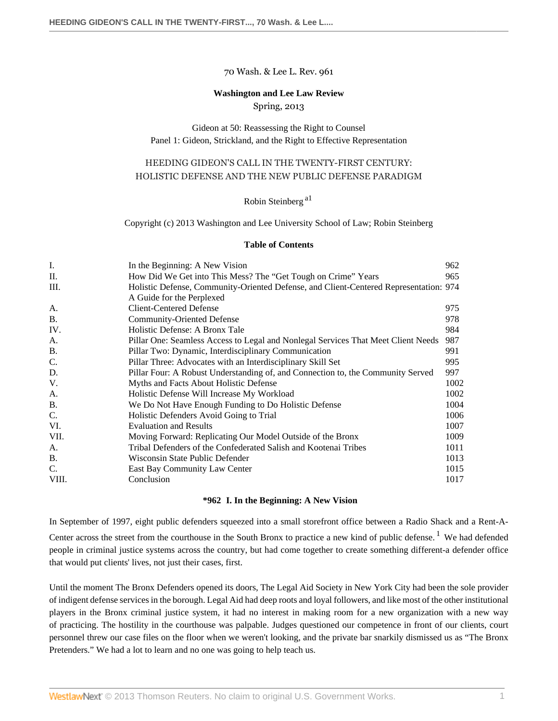#### 70 Wash. & Lee L. Rev. 961

# **Washington and Lee Law Review**

Spring, 2013

# Gideon at 50: Reassessing the Right to Counsel Panel 1: Gideon, Strickland, and the Right to Effective Representation

# HEEDING GIDEON'S CALL IN THE TWENTY-FIRST CENTURY: HOLISTIC DEFENSE AND THE NEW PUBLIC DEFENSE PARADIGM

<span id="page-0-1"></span>Robin Steinberg<sup>[a1](#page-20-0)</sup>

Copyright (c) 2013 Washington and Lee University School of Law; Robin Steinberg

#### **Table of Contents**

| I.    | In the Beginning: A New Vision                                                        | 962  |
|-------|---------------------------------------------------------------------------------------|------|
| П.    | How Did We Get into This Mess? The "Get Tough on Crime" Years                         | 965  |
| Ш.    | Holistic Defense, Community-Oriented Defense, and Client-Centered Representation: 974 |      |
|       | A Guide for the Perplexed                                                             |      |
| A.    | <b>Client-Centered Defense</b>                                                        | 975  |
| B.    | <b>Community-Oriented Defense</b>                                                     | 978  |
| IV.   | Holistic Defense: A Bronx Tale                                                        | 984  |
| A.    | Pillar One: Seamless Access to Legal and Nonlegal Services That Meet Client Needs     | 987  |
| Β.    | Pillar Two: Dynamic, Interdisciplinary Communication                                  | 991  |
| C.    | Pillar Three: Advocates with an Interdisciplinary Skill Set                           | 995  |
| D.    | Pillar Four: A Robust Understanding of, and Connection to, the Community Served       | 997  |
| V.    | Myths and Facts About Holistic Defense                                                | 1002 |
| A.    | Holistic Defense Will Increase My Workload                                            | 1002 |
| B.    | We Do Not Have Enough Funding to Do Holistic Defense                                  | 1004 |
| C.    | Holistic Defenders Avoid Going to Trial                                               | 1006 |
| VI.   | <b>Evaluation and Results</b>                                                         | 1007 |
| VII.  | Moving Forward: Replicating Our Model Outside of the Bronx                            | 1009 |
| A.    | Tribal Defenders of the Confederated Salish and Kootenai Tribes                       | 1011 |
| B.    | Wisconsin State Public Defender                                                       | 1013 |
| C.    | East Bay Community Law Center                                                         | 1015 |
| VIII. | Conclusion                                                                            | 1017 |
|       |                                                                                       |      |

#### <span id="page-0-2"></span>**\*962 I. In the Beginning: A New Vision**

<span id="page-0-0"></span>In September of 1997, eight public defenders squeezed into a small storefront office between a Radio Shack and a Rent-A-Center across the street from the courthouse in the South Bronx to practice a new kind of public defense.<sup>[1](#page-20-1)</sup> We had defended people in criminal justice systems across the country, but had come together to create something different-a defender office that would put clients' lives, not just their cases, first.

Until the moment The Bronx Defenders opened its doors, The Legal Aid Society in New York City had been the sole provider of indigent defense services in the borough. Legal Aid had deep roots and loyal followers, and like most of the other institutional players in the Bronx criminal justice system, it had no interest in making room for a new organization with a new way of practicing. The hostility in the courthouse was palpable. Judges questioned our competence in front of our clients, court personnel threw our case files on the floor when we weren't looking, and the private bar snarkily dismissed us as "The Bronx Pretenders." We had a lot to learn and no one was going to help teach us.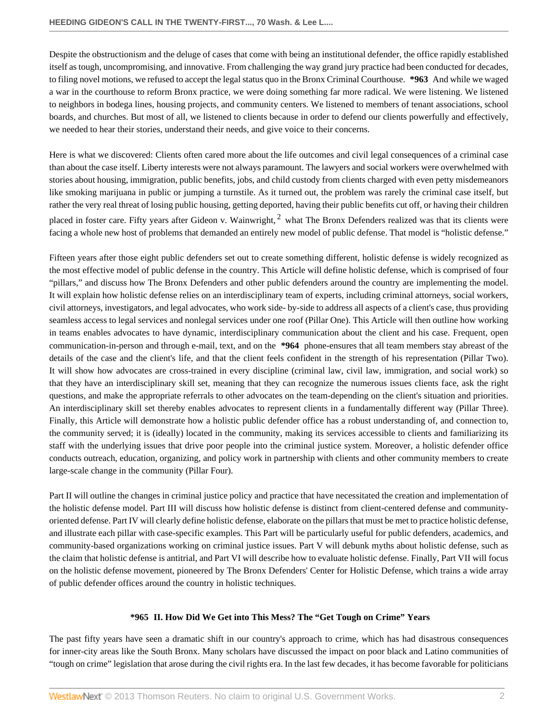Despite the obstructionism and the deluge of cases that come with being an institutional defender, the office rapidly established itself as tough, uncompromising, and innovative. From challenging the way grand jury practice had been conducted for decades, to filing novel motions, we refused to accept the legal status quo in the Bronx Criminal Courthouse. **\*963** And while we waged a war in the courthouse to reform Bronx practice, we were doing something far more radical. We were listening. We listened to neighbors in bodega lines, housing projects, and community centers. We listened to members of tenant associations, school boards, and churches. But most of all, we listened to clients because in order to defend our clients powerfully and effectively, we needed to hear their stories, understand their needs, and give voice to their concerns.

Here is what we discovered: Clients often cared more about the life outcomes and civil legal consequences of a criminal case than about the case itself. Liberty interests were not always paramount. The lawyers and social workers were overwhelmed with stories about housing, immigration, public benefits, jobs, and child custody from clients charged with even petty misdemeanors like smoking marijuana in public or jumping a turnstile. As it turned out, the problem was rarely the criminal case itself, but rather the very real threat of losing public housing, getting deported, having their public benefits cut off, or having their children placed in foster care. Fifty years after Gideon v. Wainwright,  $^2$  $^2$  what The Bronx Defenders realized was that its clients were facing a whole new host of problems that demanded an entirely new model of public defense. That model is "holistic defense."

<span id="page-1-1"></span>Fifteen years after those eight public defenders set out to create something different, holistic defense is widely recognized as the most effective model of public defense in the country. This Article will define holistic defense, which is comprised of four "pillars," and discuss how The Bronx Defenders and other public defenders around the country are implementing the model. It will explain how holistic defense relies on an interdisciplinary team of experts, including criminal attorneys, social workers, civil attorneys, investigators, and legal advocates, who work side- by-side to address all aspects of a client's case, thus providing seamless access to legal services and nonlegal services under one roof (Pillar One). This Article will then outline how working in teams enables advocates to have dynamic, interdisciplinary communication about the client and his case. Frequent, open communication-in-person and through e-mail, text, and on the **\*964** phone-ensures that all team members stay abreast of the details of the case and the client's life, and that the client feels confident in the strength of his representation (Pillar Two). It will show how advocates are cross-trained in every discipline (criminal law, civil law, immigration, and social work) so that they have an interdisciplinary skill set, meaning that they can recognize the numerous issues clients face, ask the right questions, and make the appropriate referrals to other advocates on the team-depending on the client's situation and priorities. An interdisciplinary skill set thereby enables advocates to represent clients in a fundamentally different way (Pillar Three). Finally, this Article will demonstrate how a holistic public defender office has a robust understanding of, and connection to, the community served; it is (ideally) located in the community, making its services accessible to clients and familiarizing its staff with the underlying issues that drive poor people into the criminal justice system. Moreover, a holistic defender office conducts outreach, education, organizing, and policy work in partnership with clients and other community members to create large-scale change in the community (Pillar Four).

Part II will outline the changes in criminal justice policy and practice that have necessitated the creation and implementation of the holistic defense model. Part III will discuss how holistic defense is distinct from client-centered defense and communityoriented defense. Part IV will clearly define holistic defense, elaborate on the pillars that must be met to practice holistic defense, and illustrate each pillar with case-specific examples. This Part will be particularly useful for public defenders, academics, and community-based organizations working on criminal justice issues. Part V will debunk myths about holistic defense, such as the claim that holistic defense is antitrial, and Part VI will describe how to evaluate holistic defense. Finally, Part VII will focus on the holistic defense movement, pioneered by The Bronx Defenders' Center for Holistic Defense, which trains a wide array of public defender offices around the country in holistic techniques.

# **\*965 II. How Did We Get into This Mess? The "Get Tough on Crime" Years**

<span id="page-1-0"></span>The past fifty years have seen a dramatic shift in our country's approach to crime, which has had disastrous consequences for inner-city areas like the South Bronx. Many scholars have discussed the impact on poor black and Latino communities of "tough on crime" legislation that arose during the civil rights era. In the last few decades, it has become favorable for politicians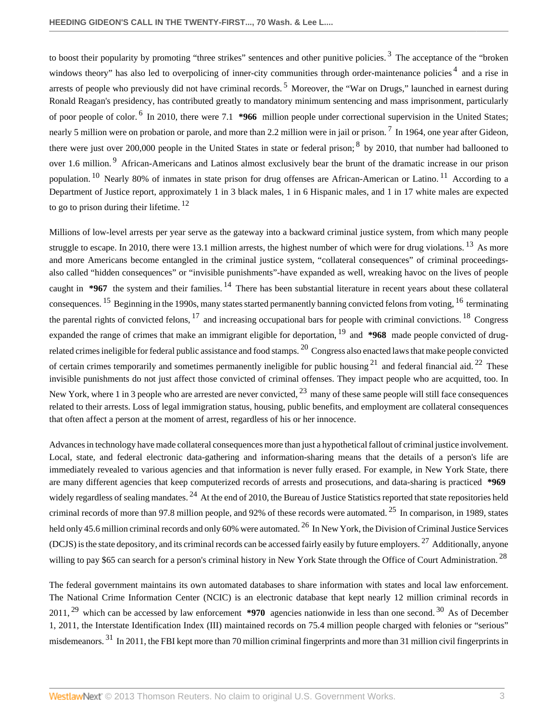<span id="page-2-5"></span><span id="page-2-4"></span><span id="page-2-3"></span><span id="page-2-2"></span><span id="page-2-1"></span><span id="page-2-0"></span>to boost their popularity by promoting "three strikes" sentences and other punitive policies.<sup>[3](#page-20-3)</sup> The acceptance of the "broken windows theory" has also led to overpolicing of inner-city communities through order-maintenance policies<sup>[4](#page-20-4)</sup> and a rise in arrests of people who previously did not have criminal records. <sup>[5](#page-20-5)</sup> Moreover, the "War on Drugs," launched in earnest during Ronald Reagan's presidency, has contributed greatly to mandatory minimum sentencing and mass imprisonment, particularly of poor people of color. <sup>[6](#page-20-6)</sup> In 2010, there were 7.1 **\*966** million people under correctional supervision in the United States; nearly 5 million were on probation or parole, and more than 2.2 million were in jail or prison. <sup>[7](#page-20-7)</sup> In 1964, one year after Gideon, there were just over 200,000 people in the United States in state or federal prison; <sup>[8](#page-20-8)</sup> by 2010, that number had ballooned to over 1.6 million.<sup>[9](#page-21-0)</sup> African-Americans and Latinos almost exclusively bear the brunt of the dramatic increase in our prison population. <sup>[10](#page-21-1)</sup> Nearly 80% of inmates in state prison for drug offenses are African-American or Latino. <sup>[11](#page-21-2)</sup> According to a Department of Justice report, approximately 1 in 3 black males, 1 in 6 Hispanic males, and 1 in 17 white males are expected to go to prison during their lifetime.<sup>[12](#page-21-3)</sup>

<span id="page-2-16"></span><span id="page-2-15"></span><span id="page-2-14"></span><span id="page-2-13"></span><span id="page-2-12"></span><span id="page-2-11"></span><span id="page-2-10"></span><span id="page-2-9"></span><span id="page-2-8"></span><span id="page-2-7"></span><span id="page-2-6"></span>Millions of low-level arrests per year serve as the gateway into a backward criminal justice system, from which many people struggle to escape. In 2010, there were [13](#page-21-4).1 million arrests, the highest number of which were for drug violations. <sup>13</sup> As more and more Americans become entangled in the criminal justice system, "collateral consequences" of criminal proceedingsalso called "hidden consequences" or "invisible punishments"-have expanded as well, wreaking havoc on the lives of people caught in **\*967** the system and their families. <sup>[14](#page-21-5)</sup> There has been substantial literature in recent years about these collateral consequences. <sup>[15](#page-21-6)</sup> Beginning in the 1990s, many states started permanently banning convicted felons from voting, <sup>[16](#page-21-7)</sup> terminating the parental rights of convicted felons,  $17$  and increasing occupational bars for people with criminal convictions.  $18$  Congress expanded the range of crimes that make an immigrant eligible for deportation, <sup>[19](#page-21-10)</sup> and **\*968** made people convicted of drug-related crimes ineligible for federal public assistance and food stamps. <sup>[20](#page-21-11)</sup> Congress also enacted laws that make people convicted of certain crimes temporarily and sometimes permanently ineligible for public housing  $21$  and federal financial aid.  $22$  These invisible punishments do not just affect those convicted of criminal offenses. They impact people who are acquitted, too. In New York, where 1 in 3 people who are arrested are never convicted,  $^{23}$  $^{23}$  $^{23}$  many of these same people will still face consequences related to their arrests. Loss of legal immigration status, housing, public benefits, and employment are collateral consequences that often affect a person at the moment of arrest, regardless of his or her innocence.

<span id="page-2-22"></span><span id="page-2-21"></span><span id="page-2-20"></span><span id="page-2-19"></span><span id="page-2-18"></span><span id="page-2-17"></span>Advances in technology have made collateral consequences more than just a hypothetical fallout of criminal justice involvement. Local, state, and federal electronic data-gathering and information-sharing means that the details of a person's life are immediately revealed to various agencies and that information is never fully erased. For example, in New York State, there are many different agencies that keep computerized records of arrests and prosecutions, and data-sharing is practiced **\*969** widely regardless of sealing mandates. <sup>[24](#page-22-3)</sup> At the end of 2010, the Bureau of Justice Statistics reported that state repositories held criminal records of more than 97.8 million people, and 92% of these records were automated.  $25$  In comparison, in 1989, states held only 45.6 million criminal records and only 60% were automated. <sup>[26](#page-22-5)</sup> In New York, the Division of Criminal Justice Services (DCJS) is the state depository, and its criminal records can be accessed fairly easily by future employers. <sup>[27](#page-22-6)</sup> Additionally, anyone willing to pay \$65 can search for a person's criminal history in New York State through the Office of Court Administration. <sup>[28](#page-22-7)</sup>

<span id="page-2-28"></span><span id="page-2-27"></span><span id="page-2-26"></span><span id="page-2-25"></span><span id="page-2-24"></span><span id="page-2-23"></span>The federal government maintains its own automated databases to share information with states and local law enforcement. The National Crime Information Center (NCIC) is an electronic database that kept nearly 12 million criminal records in 2011, [29](#page-22-8) which can be accessed by law enforcement **\*970** agencies nationwide in less than one second. [30](#page-22-9) As of December 1, 2011, the Interstate Identification Index (III) maintained records on 75.4 million people charged with felonies or "serious" misdemeanors.<sup>[31](#page-22-10)</sup> In 2011, the FBI kept more than 70 million criminal fingerprints and more than 31 million civil fingerprints in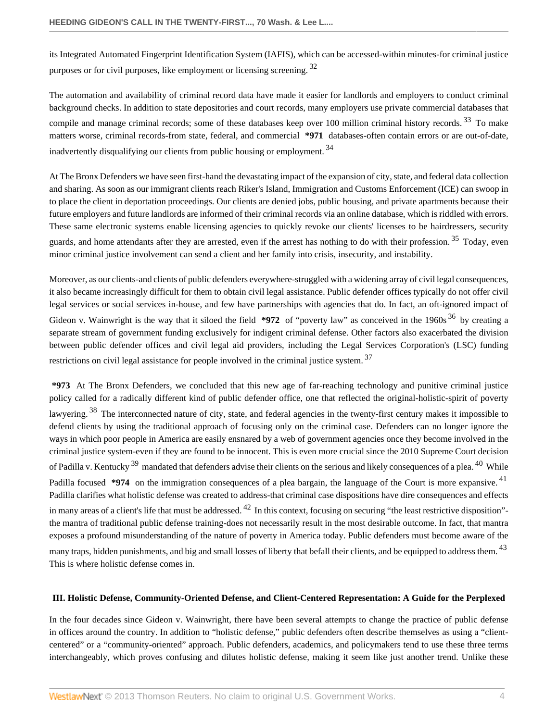<span id="page-3-1"></span>its Integrated Automated Fingerprint Identification System (IAFIS), which can be accessed-within minutes-for criminal justice purposes or for civil purposes, like employment or licensing screening. <sup>[32](#page-22-11)</sup>

<span id="page-3-2"></span>The automation and availability of criminal record data have made it easier for landlords and employers to conduct criminal background checks. In addition to state depositories and court records, many employers use private commercial databases that compile and manage criminal records; some of these databases keep over 100 million criminal history records.<sup>[33](#page-22-12)</sup> To make matters worse, criminal records-from state, federal, and commercial **\*971** databases-often contain errors or are out-of-date, inadvertently disqualifying our clients from public housing or employment. [34](#page-22-13)

<span id="page-3-3"></span>At The Bronx Defenders we have seen first-hand the devastating impact of the expansion of city, state, and federal data collection and sharing. As soon as our immigrant clients reach Riker's Island, Immigration and Customs Enforcement (ICE) can swoop in to place the client in deportation proceedings. Our clients are denied jobs, public housing, and private apartments because their future employers and future landlords are informed of their criminal records via an online database, which is riddled with errors. These same electronic systems enable licensing agencies to quickly revoke our clients' licenses to be hairdressers, security guards, and home attendants after they are arrested, even if the arrest has nothing to do with their profession.<sup>[35](#page-23-0)</sup> Today, even minor criminal justice involvement can send a client and her family into crisis, insecurity, and instability.

<span id="page-3-5"></span><span id="page-3-4"></span>Moreover, as our clients-and clients of public defenders everywhere-struggled with a widening array of civil legal consequences, it also became increasingly difficult for them to obtain civil legal assistance. Public defender offices typically do not offer civil legal services or social services in-house, and few have partnerships with agencies that do. In fact, an oft-ignored impact of Gideon v. Wainwright is the way that it siloed the field  $*972$  of "poverty law" as conceived in the 1960s  $36$  by creating a separate stream of government funding exclusively for indigent criminal defense. Other factors also exacerbated the division between public defender offices and civil legal aid providers, including the Legal Services Corporation's (LSC) funding restrictions on civil legal assistance for people involved in the criminal justice system.<sup>[37](#page-23-2)</sup>

<span id="page-3-10"></span><span id="page-3-9"></span><span id="page-3-8"></span><span id="page-3-7"></span><span id="page-3-6"></span>**\*973** At The Bronx Defenders, we concluded that this new age of far-reaching technology and punitive criminal justice policy called for a radically different kind of public defender office, one that reflected the original-holistic-spirit of poverty lawyering.<sup>[38](#page-23-3)</sup> The interconnected nature of city, state, and federal agencies in the twenty-first century makes it impossible to defend clients by using the traditional approach of focusing only on the criminal case. Defenders can no longer ignore the ways in which poor people in America are easily ensnared by a web of government agencies once they become involved in the criminal justice system-even if they are found to be innocent. This is even more crucial since the 2010 Supreme Court decision of Padilla v. Kentucky  $39$  mandated that defenders advise their clients on the serious and likely consequences of a plea.  $40$  While Padilla focused \*974 on the immigration consequences of a plea bargain, the language of the Court is more expansive. <sup>[41](#page-24-0)</sup> Padilla clarifies what holistic defense was created to address-that criminal case dispositions have dire consequences and effects in many areas of a client's life that must be addressed.  $42$  In this context, focusing on securing "the least restrictive disposition"the mantra of traditional public defense training-does not necessarily result in the most desirable outcome. In fact, that mantra exposes a profound misunderstanding of the nature of poverty in America today. Public defenders must become aware of the many traps, hidden punishments, and big and small losses of liberty that befall their clients, and be equipped to address them. <sup>[43](#page-24-2)</sup> This is where holistic defense comes in.

#### <span id="page-3-12"></span><span id="page-3-11"></span><span id="page-3-0"></span>**III. Holistic Defense, Community-Oriented Defense, and Client-Centered Representation: A Guide for the Perplexed**

In the four decades since Gideon v. Wainwright, there have been several attempts to change the practice of public defense in offices around the country. In addition to "holistic defense," public defenders often describe themselves as using a "clientcentered" or a "community-oriented" approach. Public defenders, academics, and policymakers tend to use these three terms interchangeably, which proves confusing and dilutes holistic defense, making it seem like just another trend. Unlike these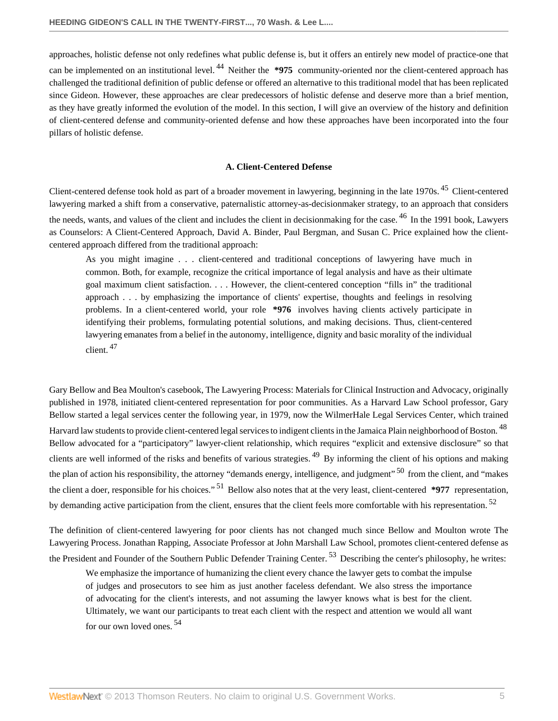approaches, holistic defense not only redefines what public defense is, but it offers an entirely new model of practice-one that can be implemented on an institutional level.<sup>[44](#page-24-3)</sup> Neither the **\*975** community-oriented nor the client-centered approach has challenged the traditional definition of public defense or offered an alternative to this traditional model that has been replicated since Gideon. However, these approaches are clear predecessors of holistic defense and deserve more than a brief mention, as they have greatly informed the evolution of the model. In this section, I will give an overview of the history and definition of client-centered defense and community-oriented defense and how these approaches have been incorporated into the four pillars of holistic defense.

#### <span id="page-4-5"></span><span id="page-4-3"></span><span id="page-4-2"></span><span id="page-4-1"></span>**A. Client-Centered Defense**

<span id="page-4-0"></span>Client-centered defense took hold as part of a broader movement in lawyering, beginning in the late 1970s. <sup>[45](#page-24-4)</sup> Client-centered lawyering marked a shift from a conservative, paternalistic attorney-as-decisionmaker strategy, to an approach that considers the needs, wants, and values of the client and includes the client in decisionmaking for the case. <sup>[46](#page-24-5)</sup> In the 1991 book, Lawyers as Counselors: A Client-Centered Approach, David A. Binder, Paul Bergman, and Susan C. Price explained how the clientcentered approach differed from the traditional approach:

As you might imagine . . . client-centered and traditional conceptions of lawyering have much in common. Both, for example, recognize the critical importance of legal analysis and have as their ultimate goal maximum client satisfaction. . . . However, the client-centered conception "fills in" the traditional approach . . . by emphasizing the importance of clients' expertise, thoughts and feelings in resolving problems. In a client-centered world, your role **\*976** involves having clients actively participate in identifying their problems, formulating potential solutions, and making decisions. Thus, client-centered lawyering emanates from a belief in the autonomy, intelligence, dignity and basic morality of the individual client. [47](#page-24-6)

<span id="page-4-4"></span>Gary Bellow and Bea Moulton's casebook, The Lawyering Process: Materials for Clinical Instruction and Advocacy, originally published in 1978, initiated client-centered representation for poor communities. As a Harvard Law School professor, Gary Bellow started a legal services center the following year, in 1979, now the WilmerHale Legal Services Center, which trained Harvard law students to provide client-centered legal services to indigent clients in the Jamaica Plain neighborhood of Boston. <sup>[48](#page-24-7)</sup> Bellow advocated for a "participatory" lawyer-client relationship, which requires "explicit and extensive disclosure" so that clients are well informed of the risks and benefits of various strategies.<sup>[49](#page-24-8)</sup> By informing the client of his options and making the plan of action his responsibility, the attorney "demands energy, intelligence, and judgment" <sup>[50](#page-24-9)</sup> from the client, and "makes" the client a doer, responsible for his choices." [51](#page-24-10) Bellow also notes that at the very least, client-centered **\*977** representation, by demanding active participation from the client, ensures that the client feels more comfortable with his representation.<sup>[52](#page-24-11)</sup>

The definition of client-centered lawyering for poor clients has not changed much since Bellow and Moulton wrote The Lawyering Process. Jonathan Rapping, Associate Professor at John Marshall Law School, promotes client-centered defense as the President and Founder of the Southern Public Defender Training Center.<sup>[53](#page-24-12)</sup> Describing the center's philosophy, he writes:

<span id="page-4-11"></span><span id="page-4-10"></span><span id="page-4-9"></span><span id="page-4-8"></span><span id="page-4-7"></span><span id="page-4-6"></span>We emphasize the importance of humanizing the client every chance the lawyer gets to combat the impulse of judges and prosecutors to see him as just another faceless defendant. We also stress the importance of advocating for the client's interests, and not assuming the lawyer knows what is best for the client. Ultimately, we want our participants to treat each client with the respect and attention we would all want for our own loved ones. [54](#page-24-13)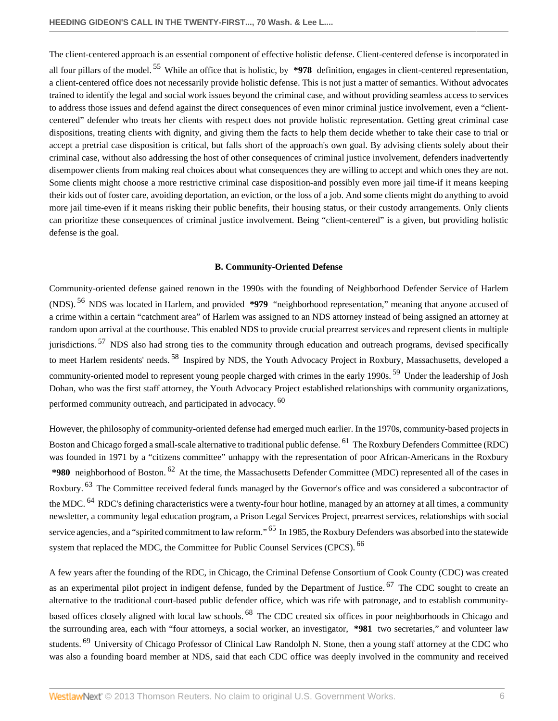<span id="page-5-1"></span>The client-centered approach is an essential component of effective holistic defense. Client-centered defense is incorporated in all four pillars of the model. [55](#page-25-0) While an office that is holistic, by **\*978** definition, engages in client-centered representation, a client-centered office does not necessarily provide holistic defense. This is not just a matter of semantics. Without advocates trained to identify the legal and social work issues beyond the criminal case, and without providing seamless access to services to address those issues and defend against the direct consequences of even minor criminal justice involvement, even a "clientcentered" defender who treats her clients with respect does not provide holistic representation. Getting great criminal case dispositions, treating clients with dignity, and giving them the facts to help them decide whether to take their case to trial or accept a pretrial case disposition is critical, but falls short of the approach's own goal. By advising clients solely about their criminal case, without also addressing the host of other consequences of criminal justice involvement, defenders inadvertently disempower clients from making real choices about what consequences they are willing to accept and which ones they are not. Some clients might choose a more restrictive criminal case disposition-and possibly even more jail time-if it means keeping their kids out of foster care, avoiding deportation, an eviction, or the loss of a job. And some clients might do anything to avoid more jail time-even if it means risking their public benefits, their housing status, or their custody arrangements. Only clients can prioritize these consequences of criminal justice involvement. Being "client-centered" is a given, but providing holistic defense is the goal.

#### <span id="page-5-7"></span><span id="page-5-6"></span><span id="page-5-5"></span><span id="page-5-4"></span>**B. Community-Oriented Defense**

<span id="page-5-3"></span><span id="page-5-2"></span><span id="page-5-0"></span>Community-oriented defense gained renown in the 1990s with the founding of Neighborhood Defender Service of Harlem (NDS). [56](#page-25-1) NDS was located in Harlem, and provided **\*979** "neighborhood representation," meaning that anyone accused of a crime within a certain "catchment area" of Harlem was assigned to an NDS attorney instead of being assigned an attorney at random upon arrival at the courthouse. This enabled NDS to provide crucial prearrest services and represent clients in multiple jurisdictions.  $57$  NDS also had strong ties to the community through education and outreach programs, devised specifically to meet Harlem residents' needs.<sup>[58](#page-25-3)</sup> Inspired by NDS, the Youth Advocacy Project in Roxbury, Massachusetts, developed a community-oriented model to represent young people charged with crimes in the early 1990s. [59](#page-25-4) Under the leadership of Josh Dohan, who was the first staff attorney, the Youth Advocacy Project established relationships with community organizations, performed community outreach, and participated in advocacy. <sup>[60](#page-25-5)</sup>

<span id="page-5-10"></span><span id="page-5-9"></span><span id="page-5-8"></span>However, the philosophy of community-oriented defense had emerged much earlier. In the 1970s, community-based projects in Boston and Chicago forged a small-scale alternative to traditional public defense. [61](#page-25-6) The Roxbury Defenders Committee (RDC) was founded in 1971 by a "citizens committee" unhappy with the representation of poor African-Americans in the Roxbury **\*980** neighborhood of Boston. [62](#page-25-7) At the time, the Massachusetts Defender Committee (MDC) represented all of the cases in Roxbury. <sup>[63](#page-25-8)</sup> The Committee received federal funds managed by the Governor's office and was considered a subcontractor of the MDC. <sup>[64](#page-25-9)</sup> RDC's defining characteristics were a twenty-four hour hotline, managed by an attorney at all times, a community newsletter, a community legal education program, a Prison Legal Services Project, prearrest services, relationships with social service agencies, and a "spirited commitment to law reform." <sup>[65](#page-25-10)</sup> In 1985, the Roxbury Defenders was absorbed into the statewide system that replaced the MDC, the Committee for Public Counsel Services (CPCS). <sup>[66](#page-25-11)</sup>

<span id="page-5-15"></span><span id="page-5-14"></span><span id="page-5-13"></span><span id="page-5-12"></span><span id="page-5-11"></span>A few years after the founding of the RDC, in Chicago, the Criminal Defense Consortium of Cook County (CDC) was created as an experimental pilot project in indigent defense, funded by the Department of Justice. <sup>[67](#page-25-12)</sup> The CDC sought to create an alternative to the traditional court-based public defender office, which was rife with patronage, and to establish communitybased offices closely aligned with local law schools. [68](#page-25-13) The CDC created six offices in poor neighborhoods in Chicago and the surrounding area, each with "four attorneys, a social worker, an investigator, **\*981** two secretaries," and volunteer law students. <sup>[69](#page-25-14)</sup> University of Chicago Professor of Clinical Law Randolph N. Stone, then a young staff attorney at the CDC who was also a founding board member at NDS, said that each CDC office was deeply involved in the community and received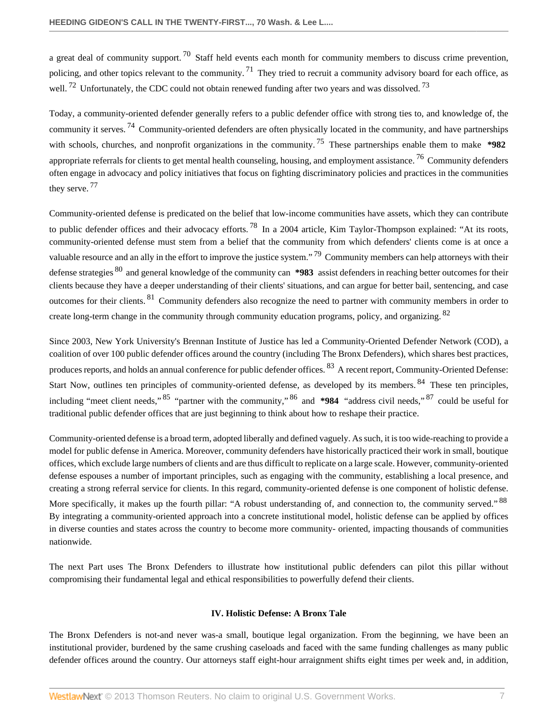<span id="page-6-4"></span><span id="page-6-3"></span><span id="page-6-2"></span><span id="page-6-1"></span>a great deal of community support.<sup>[70](#page-25-15)</sup> Staff held events each month for community members to discuss crime prevention, policing, and other topics relevant to the community.  $^{71}$  $^{71}$  $^{71}$  They tried to recruit a community advisory board for each office, as well. <sup>[72](#page-26-1)</sup> Unfortunately, the CDC could not obtain renewed funding after two years and was dissolved. <sup>[73](#page-26-2)</sup>

<span id="page-6-7"></span><span id="page-6-6"></span><span id="page-6-5"></span>Today, a community-oriented defender generally refers to a public defender office with strong ties to, and knowledge of, the community it serves. [74](#page-26-3) Community-oriented defenders are often physically located in the community, and have partnerships with schools, churches, and nonprofit organizations in the community.<sup>[75](#page-26-4)</sup> These partnerships enable them to make **\*982** appropriate referrals for clients to get mental health counseling, housing, and employment assistance.<sup>[76](#page-26-5)</sup> Community defenders often engage in advocacy and policy initiatives that focus on fighting discriminatory policies and practices in the communities they serve.<sup>[77](#page-26-6)</sup>

<span id="page-6-11"></span><span id="page-6-10"></span><span id="page-6-9"></span><span id="page-6-8"></span>Community-oriented defense is predicated on the belief that low-income communities have assets, which they can contribute to public defender offices and their advocacy efforts.<sup>[78](#page-26-7)</sup> In a 2004 article, Kim Taylor-Thompson explained: "At its roots, community-oriented defense must stem from a belief that the community from which defenders' clients come is at once a valuable resource and an ally in the effort to improve the justice system." <sup>[79](#page-26-8)</sup> Community members can help attorneys with their defense strategies [80](#page-26-9) and general knowledge of the community can **\*983** assist defenders in reaching better outcomes for their clients because they have a deeper understanding of their clients' situations, and can argue for better bail, sentencing, and case outcomes for their clients. [81](#page-26-10) Community defenders also recognize the need to partner with community members in order to create long-term change in the community through community education programs, policy, and organizing. <sup>[82](#page-26-11)</sup>

<span id="page-6-12"></span>Since 2003, New York University's Brennan Institute of Justice has led a Community-Oriented Defender Network (COD), a coalition of over 100 public defender offices around the country (including The Bronx Defenders), which shares best practices, produces reports, and holds an annual conference for public defender offices. <sup>[83](#page-27-0)</sup> A recent report, Community-Oriented Defense: Start Now, outlines ten principles of community-oriented defense, as developed by its members. <sup>[84](#page-27-1)</sup> These ten principles, including "meet client needs," [85](#page-27-2) "partner with the community," [86](#page-27-3) and **\*984** "address civil needs," [87](#page-27-4) could be useful for traditional public defender offices that are just beginning to think about how to reshape their practice.

<span id="page-6-16"></span>Community-oriented defense is a broad term, adopted liberally and defined vaguely. As such, it is too wide-reaching to provide a model for public defense in America. Moreover, community defenders have historically practiced their work in small, boutique offices, which exclude large numbers of clients and are thus difficult to replicate on a large scale. However, community-oriented defense espouses a number of important principles, such as engaging with the community, establishing a local presence, and creating a strong referral service for clients. In this regard, community-oriented defense is one component of holistic defense. More specifically, it makes up the fourth pillar: "A robust understanding of, and connection to, the community served." <sup>[88](#page-27-5)</sup> By integrating a community-oriented approach into a concrete institutional model, holistic defense can be applied by offices in diverse counties and states across the country to become more community- oriented, impacting thousands of communities nationwide.

The next Part uses The Bronx Defenders to illustrate how institutional public defenders can pilot this pillar without compromising their fundamental legal and ethical responsibilities to powerfully defend their clients.

#### <span id="page-6-19"></span><span id="page-6-18"></span><span id="page-6-17"></span><span id="page-6-15"></span><span id="page-6-14"></span><span id="page-6-13"></span>**IV. Holistic Defense: A Bronx Tale**

<span id="page-6-0"></span>The Bronx Defenders is not-and never was-a small, boutique legal organization. From the beginning, we have been an institutional provider, burdened by the same crushing caseloads and faced with the same funding challenges as many public defender offices around the country. Our attorneys staff eight-hour arraignment shifts eight times per week and, in addition,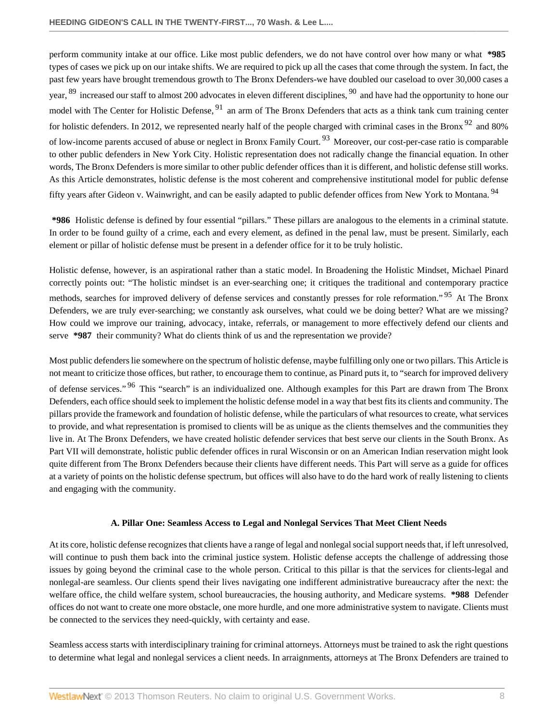<span id="page-7-5"></span><span id="page-7-4"></span><span id="page-7-3"></span><span id="page-7-2"></span><span id="page-7-1"></span>perform community intake at our office. Like most public defenders, we do not have control over how many or what **\*985** types of cases we pick up on our intake shifts. We are required to pick up all the cases that come through the system. In fact, the past few years have brought tremendous growth to The Bronx Defenders-we have doubled our caseload to over 30,000 cases a year, <sup>[89](#page-27-6)</sup> increased our staff to almost 200 advocates in eleven different disciplines, <sup>[90](#page-27-7)</sup> and have had the opportunity to hone our model with The Center for Holistic Defense, <sup>[91](#page-27-8)</sup> an arm of The Bronx Defenders that acts as a think tank cum training center for holistic defenders. In 2012, we represented nearly half of the people charged with criminal cases in the Bronx  $92$  and 80% of low-income parents accused of abuse or neglect in Bronx Family Court. [93](#page-27-10) Moreover, our cost-per-case ratio is comparable to other public defenders in New York City. Holistic representation does not radically change the financial equation. In other words, The Bronx Defenders is more similar to other public defender offices than it is different, and holistic defense still works. As this Article demonstrates, holistic defense is the most coherent and comprehensive institutional model for public defense fifty years after Gideon v. Wainwright, and can be easily adapted to public defender offices from New York to Montana.<sup>[94](#page-27-11)</sup>

<span id="page-7-6"></span>**\*986** Holistic defense is defined by four essential "pillars." These pillars are analogous to the elements in a criminal statute. In order to be found guilty of a crime, each and every element, as defined in the penal law, must be present. Similarly, each element or pillar of holistic defense must be present in a defender office for it to be truly holistic.

<span id="page-7-7"></span>Holistic defense, however, is an aspirational rather than a static model. In Broadening the Holistic Mindset, Michael Pinard correctly points out: "The holistic mindset is an ever-searching one; it critiques the traditional and contemporary practice methods, searches for improved delivery of defense services and constantly presses for role reformation."<sup>[95](#page-27-12)</sup> At The Bronx Defenders, we are truly ever-searching; we constantly ask ourselves, what could we be doing better? What are we missing? How could we improve our training, advocacy, intake, referrals, or management to more effectively defend our clients and serve **\*987** their community? What do clients think of us and the representation we provide?

<span id="page-7-8"></span>Most public defenders lie somewhere on the spectrum of holistic defense, maybe fulfilling only one or two pillars. This Article is not meant to criticize those offices, but rather, to encourage them to continue, as Pinard puts it, to "search for improved delivery of defense services."<sup>[96](#page-28-0)</sup> This "search" is an individualized one. Although examples for this Part are drawn from The Bronx Defenders, each office should seek to implement the holistic defense model in a way that best fits its clients and community. The pillars provide the framework and foundation of holistic defense, while the particulars of what resources to create, what services to provide, and what representation is promised to clients will be as unique as the clients themselves and the communities they live in. At The Bronx Defenders, we have created holistic defender services that best serve our clients in the South Bronx. As Part VII will demonstrate, holistic public defender offices in rural Wisconsin or on an American Indian reservation might look quite different from The Bronx Defenders because their clients have different needs. This Part will serve as a guide for offices at a variety of points on the holistic defense spectrum, but offices will also have to do the hard work of really listening to clients and engaging with the community.

#### **A. Pillar One: Seamless Access to Legal and Nonlegal Services That Meet Client Needs**

<span id="page-7-0"></span>At its core, holistic defense recognizes that clients have a range of legal and nonlegal social support needs that, if left unresolved, will continue to push them back into the criminal justice system. Holistic defense accepts the challenge of addressing those issues by going beyond the criminal case to the whole person. Critical to this pillar is that the services for clients-legal and nonlegal-are seamless. Our clients spend their lives navigating one indifferent administrative bureaucracy after the next: the welfare office, the child welfare system, school bureaucracies, the housing authority, and Medicare systems. **\*988** Defender offices do not want to create one more obstacle, one more hurdle, and one more administrative system to navigate. Clients must be connected to the services they need-quickly, with certainty and ease.

Seamless access starts with interdisciplinary training for criminal attorneys. Attorneys must be trained to ask the right questions to determine what legal and nonlegal services a client needs. In arraignments, attorneys at The Bronx Defenders are trained to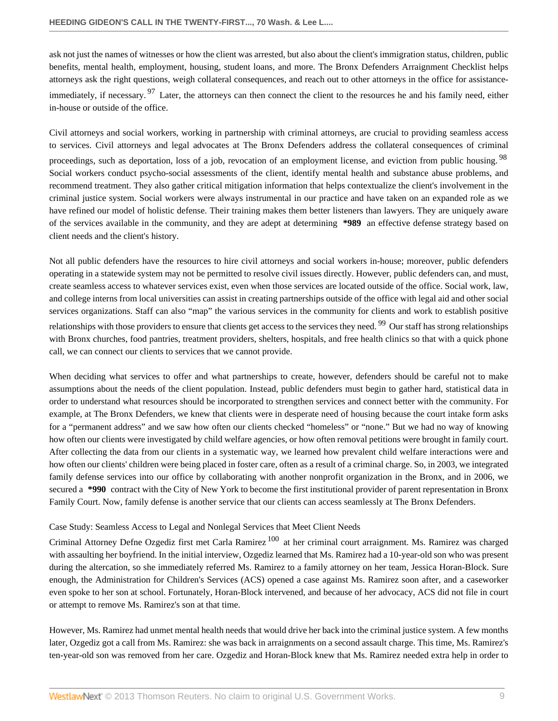<span id="page-8-0"></span>ask not just the names of witnesses or how the client was arrested, but also about the client's immigration status, children, public benefits, mental health, employment, housing, student loans, and more. The Bronx Defenders Arraignment Checklist helps attorneys ask the right questions, weigh collateral consequences, and reach out to other attorneys in the office for assistance-immediately, if necessary. <sup>[97](#page-28-1)</sup> Later, the attorneys can then connect the client to the resources he and his family need, either in-house or outside of the office.

<span id="page-8-1"></span>Civil attorneys and social workers, working in partnership with criminal attorneys, are crucial to providing seamless access to services. Civil attorneys and legal advocates at The Bronx Defenders address the collateral consequences of criminal proceedings, such as deportation, loss of a job, revocation of an employment license, and eviction from public housing. <sup>[98](#page-28-2)</sup> Social workers conduct psycho-social assessments of the client, identify mental health and substance abuse problems, and recommend treatment. They also gather critical mitigation information that helps contextualize the client's involvement in the criminal justice system. Social workers were always instrumental in our practice and have taken on an expanded role as we have refined our model of holistic defense. Their training makes them better listeners than lawyers. They are uniquely aware of the services available in the community, and they are adept at determining **\*989** an effective defense strategy based on client needs and the client's history.

Not all public defenders have the resources to hire civil attorneys and social workers in-house; moreover, public defenders operating in a statewide system may not be permitted to resolve civil issues directly. However, public defenders can, and must, create seamless access to whatever services exist, even when those services are located outside of the office. Social work, law, and college interns from local universities can assist in creating partnerships outside of the office with legal aid and other social services organizations. Staff can also "map" the various services in the community for clients and work to establish positive relationships with those providers to ensure that clients get access to the services they need. <sup>[99](#page-28-3)</sup> Our staff has strong relationships with Bronx churches, food pantries, treatment providers, shelters, hospitals, and free health clinics so that with a quick phone call, we can connect our clients to services that we cannot provide.

<span id="page-8-2"></span>When deciding what services to offer and what partnerships to create, however, defenders should be careful not to make assumptions about the needs of the client population. Instead, public defenders must begin to gather hard, statistical data in order to understand what resources should be incorporated to strengthen services and connect better with the community. For example, at The Bronx Defenders, we knew that clients were in desperate need of housing because the court intake form asks for a "permanent address" and we saw how often our clients checked "homeless" or "none." But we had no way of knowing how often our clients were investigated by child welfare agencies, or how often removal petitions were brought in family court. After collecting the data from our clients in a systematic way, we learned how prevalent child welfare interactions were and how often our clients' children were being placed in foster care, often as a result of a criminal charge. So, in 2003, we integrated family defense services into our office by collaborating with another nonprofit organization in the Bronx, and in 2006, we secured a **\*990** contract with the City of New York to become the first institutional provider of parent representation in Bronx Family Court. Now, family defense is another service that our clients can access seamlessly at The Bronx Defenders.

# Case Study: Seamless Access to Legal and Nonlegal Services that Meet Client Needs

<span id="page-8-3"></span>Criminal Attorney Defne Ozgediz first met Carla Ramirez [100](#page-28-4) at her criminal court arraignment. Ms. Ramirez was charged with assaulting her boyfriend. In the initial interview, Ozgediz learned that Ms. Ramirez had a 10-year-old son who was present during the altercation, so she immediately referred Ms. Ramirez to a family attorney on her team, Jessica Horan-Block. Sure enough, the Administration for Children's Services (ACS) opened a case against Ms. Ramirez soon after, and a caseworker even spoke to her son at school. Fortunately, Horan-Block intervened, and because of her advocacy, ACS did not file in court or attempt to remove Ms. Ramirez's son at that time.

However, Ms. Ramirez had unmet mental health needs that would drive her back into the criminal justice system. A few months later, Ozgediz got a call from Ms. Ramirez: she was back in arraignments on a second assault charge. This time, Ms. Ramirez's ten-year-old son was removed from her care. Ozgediz and Horan-Block knew that Ms. Ramirez needed extra help in order to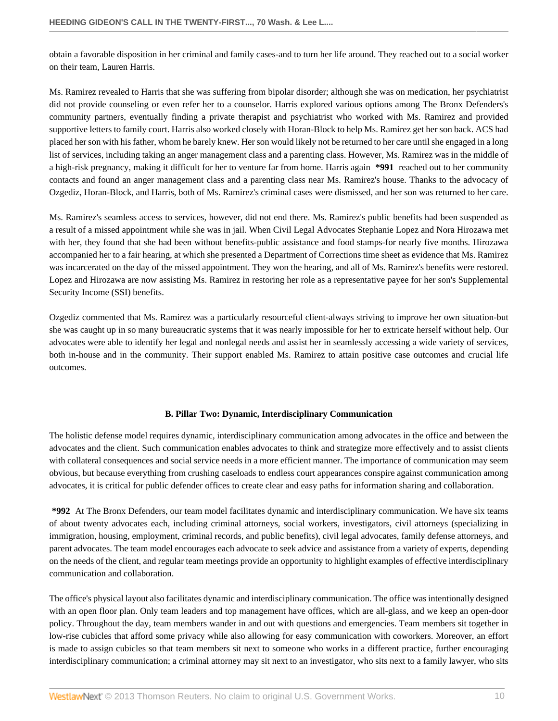obtain a favorable disposition in her criminal and family cases-and to turn her life around. They reached out to a social worker on their team, Lauren Harris.

Ms. Ramirez revealed to Harris that she was suffering from bipolar disorder; although she was on medication, her psychiatrist did not provide counseling or even refer her to a counselor. Harris explored various options among The Bronx Defenders's community partners, eventually finding a private therapist and psychiatrist who worked with Ms. Ramirez and provided supportive letters to family court. Harris also worked closely with Horan-Block to help Ms. Ramirez get her son back. ACS had placed her son with his father, whom he barely knew. Her son would likely not be returned to her care until she engaged in a long list of services, including taking an anger management class and a parenting class. However, Ms. Ramirez was in the middle of a high-risk pregnancy, making it difficult for her to venture far from home. Harris again **\*991** reached out to her community contacts and found an anger management class and a parenting class near Ms. Ramirez's house. Thanks to the advocacy of Ozgediz, Horan-Block, and Harris, both of Ms. Ramirez's criminal cases were dismissed, and her son was returned to her care.

Ms. Ramirez's seamless access to services, however, did not end there. Ms. Ramirez's public benefits had been suspended as a result of a missed appointment while she was in jail. When Civil Legal Advocates Stephanie Lopez and Nora Hirozawa met with her, they found that she had been without benefits-public assistance and food stamps-for nearly five months. Hirozawa accompanied her to a fair hearing, at which she presented a Department of Corrections time sheet as evidence that Ms. Ramirez was incarcerated on the day of the missed appointment. They won the hearing, and all of Ms. Ramirez's benefits were restored. Lopez and Hirozawa are now assisting Ms. Ramirez in restoring her role as a representative payee for her son's Supplemental Security Income (SSI) benefits.

Ozgediz commented that Ms. Ramirez was a particularly resourceful client-always striving to improve her own situation-but she was caught up in so many bureaucratic systems that it was nearly impossible for her to extricate herself without help. Our advocates were able to identify her legal and nonlegal needs and assist her in seamlessly accessing a wide variety of services, both in-house and in the community. Their support enabled Ms. Ramirez to attain positive case outcomes and crucial life outcomes.

# **B. Pillar Two: Dynamic, Interdisciplinary Communication**

<span id="page-9-0"></span>The holistic defense model requires dynamic, interdisciplinary communication among advocates in the office and between the advocates and the client. Such communication enables advocates to think and strategize more effectively and to assist clients with collateral consequences and social service needs in a more efficient manner. The importance of communication may seem obvious, but because everything from crushing caseloads to endless court appearances conspire against communication among advocates, it is critical for public defender offices to create clear and easy paths for information sharing and collaboration.

**\*992** At The Bronx Defenders, our team model facilitates dynamic and interdisciplinary communication. We have six teams of about twenty advocates each, including criminal attorneys, social workers, investigators, civil attorneys (specializing in immigration, housing, employment, criminal records, and public benefits), civil legal advocates, family defense attorneys, and parent advocates. The team model encourages each advocate to seek advice and assistance from a variety of experts, depending on the needs of the client, and regular team meetings provide an opportunity to highlight examples of effective interdisciplinary communication and collaboration.

The office's physical layout also facilitates dynamic and interdisciplinary communication. The office was intentionally designed with an open floor plan. Only team leaders and top management have offices, which are all-glass, and we keep an open-door policy. Throughout the day, team members wander in and out with questions and emergencies. Team members sit together in low-rise cubicles that afford some privacy while also allowing for easy communication with coworkers. Moreover, an effort is made to assign cubicles so that team members sit next to someone who works in a different practice, further encouraging interdisciplinary communication; a criminal attorney may sit next to an investigator, who sits next to a family lawyer, who sits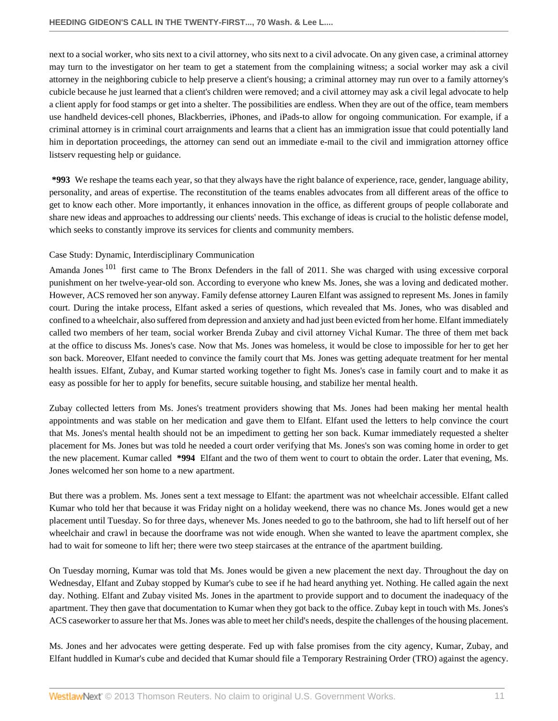next to a social worker, who sits next to a civil attorney, who sits next to a civil advocate. On any given case, a criminal attorney may turn to the investigator on her team to get a statement from the complaining witness; a social worker may ask a civil attorney in the neighboring cubicle to help preserve a client's housing; a criminal attorney may run over to a family attorney's cubicle because he just learned that a client's children were removed; and a civil attorney may ask a civil legal advocate to help a client apply for food stamps or get into a shelter. The possibilities are endless. When they are out of the office, team members use handheld devices-cell phones, Blackberries, iPhones, and iPads-to allow for ongoing communication. For example, if a criminal attorney is in criminal court arraignments and learns that a client has an immigration issue that could potentially land him in deportation proceedings, the attorney can send out an immediate e-mail to the civil and immigration attorney office listserv requesting help or guidance.

**\*993** We reshape the teams each year, so that they always have the right balance of experience, race, gender, language ability, personality, and areas of expertise. The reconstitution of the teams enables advocates from all different areas of the office to get to know each other. More importantly, it enhances innovation in the office, as different groups of people collaborate and share new ideas and approaches to addressing our clients' needs. This exchange of ideas is crucial to the holistic defense model, which seeks to constantly improve its services for clients and community members.

# Case Study: Dynamic, Interdisciplinary Communication

<span id="page-10-0"></span>Amanda Jones<sup>[101](#page-28-5)</sup> first came to The Bronx Defenders in the fall of 2011. She was charged with using excessive corporal punishment on her twelve-year-old son. According to everyone who knew Ms. Jones, she was a loving and dedicated mother. However, ACS removed her son anyway. Family defense attorney Lauren Elfant was assigned to represent Ms. Jones in family court. During the intake process, Elfant asked a series of questions, which revealed that Ms. Jones, who was disabled and confined to a wheelchair, also suffered from depression and anxiety and had just been evicted from her home. Elfant immediately called two members of her team, social worker Brenda Zubay and civil attorney Vichal Kumar. The three of them met back at the office to discuss Ms. Jones's case. Now that Ms. Jones was homeless, it would be close to impossible for her to get her son back. Moreover, Elfant needed to convince the family court that Ms. Jones was getting adequate treatment for her mental health issues. Elfant, Zubay, and Kumar started working together to fight Ms. Jones's case in family court and to make it as easy as possible for her to apply for benefits, secure suitable housing, and stabilize her mental health.

Zubay collected letters from Ms. Jones's treatment providers showing that Ms. Jones had been making her mental health appointments and was stable on her medication and gave them to Elfant. Elfant used the letters to help convince the court that Ms. Jones's mental health should not be an impediment to getting her son back. Kumar immediately requested a shelter placement for Ms. Jones but was told he needed a court order verifying that Ms. Jones's son was coming home in order to get the new placement. Kumar called **\*994** Elfant and the two of them went to court to obtain the order. Later that evening, Ms. Jones welcomed her son home to a new apartment.

But there was a problem. Ms. Jones sent a text message to Elfant: the apartment was not wheelchair accessible. Elfant called Kumar who told her that because it was Friday night on a holiday weekend, there was no chance Ms. Jones would get a new placement until Tuesday. So for three days, whenever Ms. Jones needed to go to the bathroom, she had to lift herself out of her wheelchair and crawl in because the doorframe was not wide enough. When she wanted to leave the apartment complex, she had to wait for someone to lift her; there were two steep staircases at the entrance of the apartment building.

On Tuesday morning, Kumar was told that Ms. Jones would be given a new placement the next day. Throughout the day on Wednesday, Elfant and Zubay stopped by Kumar's cube to see if he had heard anything yet. Nothing. He called again the next day. Nothing. Elfant and Zubay visited Ms. Jones in the apartment to provide support and to document the inadequacy of the apartment. They then gave that documentation to Kumar when they got back to the office. Zubay kept in touch with Ms. Jones's ACS caseworker to assure her that Ms. Jones was able to meet her child's needs, despite the challenges of the housing placement.

Ms. Jones and her advocates were getting desperate. Fed up with false promises from the city agency, Kumar, Zubay, and Elfant huddled in Kumar's cube and decided that Kumar should file a Temporary Restraining Order (TRO) against the agency.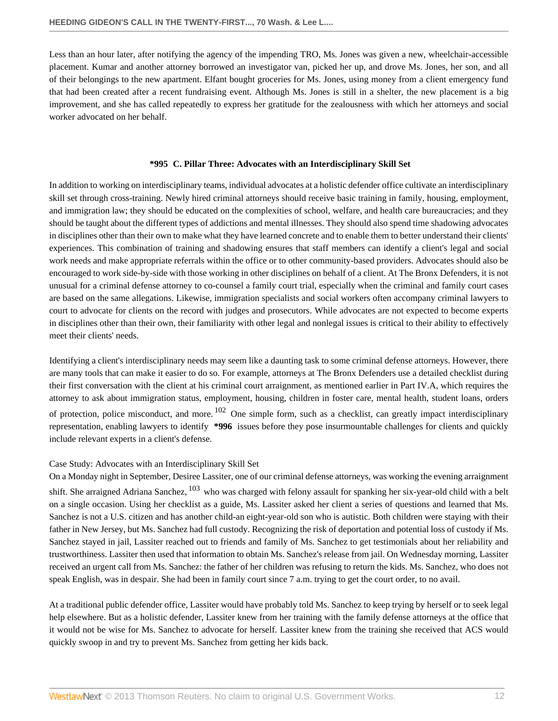Less than an hour later, after notifying the agency of the impending TRO, Ms. Jones was given a new, wheelchair-accessible placement. Kumar and another attorney borrowed an investigator van, picked her up, and drove Ms. Jones, her son, and all of their belongings to the new apartment. Elfant bought groceries for Ms. Jones, using money from a client emergency fund that had been created after a recent fundraising event. Although Ms. Jones is still in a shelter, the new placement is a big improvement, and she has called repeatedly to express her gratitude for the zealousness with which her attorneys and social worker advocated on her behalf.

#### **\*995 C. Pillar Three: Advocates with an Interdisciplinary Skill Set**

<span id="page-11-0"></span>In addition to working on interdisciplinary teams, individual advocates at a holistic defender office cultivate an interdisciplinary skill set through cross-training. Newly hired criminal attorneys should receive basic training in family, housing, employment, and immigration law; they should be educated on the complexities of school, welfare, and health care bureaucracies; and they should be taught about the different types of addictions and mental illnesses. They should also spend time shadowing advocates in disciplines other than their own to make what they have learned concrete and to enable them to better understand their clients' experiences. This combination of training and shadowing ensures that staff members can identify a client's legal and social work needs and make appropriate referrals within the office or to other community-based providers. Advocates should also be encouraged to work side-by-side with those working in other disciplines on behalf of a client. At The Bronx Defenders, it is not unusual for a criminal defense attorney to co-counsel a family court trial, especially when the criminal and family court cases are based on the same allegations. Likewise, immigration specialists and social workers often accompany criminal lawyers to court to advocate for clients on the record with judges and prosecutors. While advocates are not expected to become experts in disciplines other than their own, their familiarity with other legal and nonlegal issues is critical to their ability to effectively meet their clients' needs.

<span id="page-11-1"></span>Identifying a client's interdisciplinary needs may seem like a daunting task to some criminal defense attorneys. However, there are many tools that can make it easier to do so. For example, attorneys at The Bronx Defenders use a detailed checklist during their first conversation with the client at his criminal court arraignment, as mentioned earlier in Part IV.A, which requires the attorney to ask about immigration status, employment, housing, children in foster care, mental health, student loans, orders of protection, police misconduct, and more.  $102$  One simple form, such as a checklist, can greatly impact interdisciplinary representation, enabling lawyers to identify **\*996** issues before they pose insurmountable challenges for clients and quickly include relevant experts in a client's defense.

# Case Study: Advocates with an Interdisciplinary Skill Set

<span id="page-11-2"></span>On a Monday night in September, Desiree Lassiter, one of our criminal defense attorneys, was working the evening arraignment shift. She arraigned Adriana Sanchez, <sup>[103](#page-28-7)</sup> who was charged with felony assault for spanking her six-year-old child with a belt on a single occasion. Using her checklist as a guide, Ms. Lassiter asked her client a series of questions and learned that Ms. Sanchez is not a U.S. citizen and has another child-an eight-year-old son who is autistic. Both children were staying with their father in New Jersey, but Ms. Sanchez had full custody. Recognizing the risk of deportation and potential loss of custody if Ms. Sanchez stayed in jail, Lassiter reached out to friends and family of Ms. Sanchez to get testimonials about her reliability and trustworthiness. Lassiter then used that information to obtain Ms. Sanchez's release from jail. On Wednesday morning, Lassiter received an urgent call from Ms. Sanchez: the father of her children was refusing to return the kids. Ms. Sanchez, who does not speak English, was in despair. She had been in family court since 7 a.m. trying to get the court order, to no avail.

At a traditional public defender office, Lassiter would have probably told Ms. Sanchez to keep trying by herself or to seek legal help elsewhere. But as a holistic defender, Lassiter knew from her training with the family defense attorneys at the office that it would not be wise for Ms. Sanchez to advocate for herself. Lassiter knew from the training she received that ACS would quickly swoop in and try to prevent Ms. Sanchez from getting her kids back.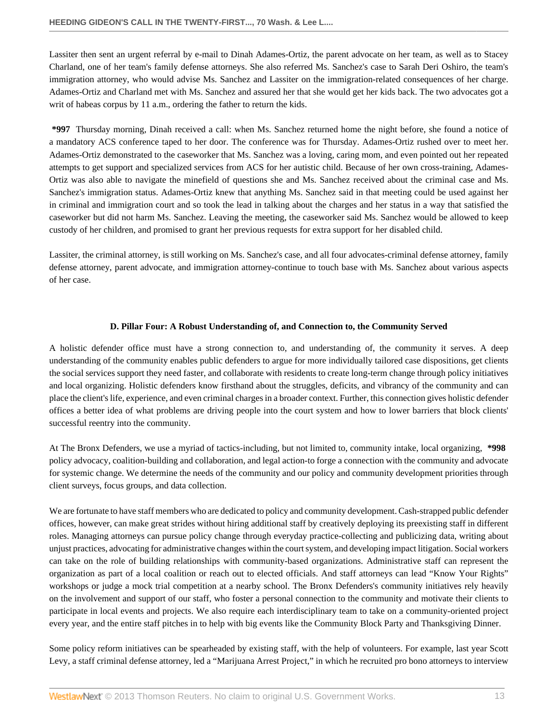Lassiter then sent an urgent referral by e-mail to Dinah Adames-Ortiz, the parent advocate on her team, as well as to Stacey Charland, one of her team's family defense attorneys. She also referred Ms. Sanchez's case to Sarah Deri Oshiro, the team's immigration attorney, who would advise Ms. Sanchez and Lassiter on the immigration-related consequences of her charge. Adames-Ortiz and Charland met with Ms. Sanchez and assured her that she would get her kids back. The two advocates got a writ of habeas corpus by 11 a.m., ordering the father to return the kids.

**\*997** Thursday morning, Dinah received a call: when Ms. Sanchez returned home the night before, she found a notice of a mandatory ACS conference taped to her door. The conference was for Thursday. Adames-Ortiz rushed over to meet her. Adames-Ortiz demonstrated to the caseworker that Ms. Sanchez was a loving, caring mom, and even pointed out her repeated attempts to get support and specialized services from ACS for her autistic child. Because of her own cross-training, Adames-Ortiz was also able to navigate the minefield of questions she and Ms. Sanchez received about the criminal case and Ms. Sanchez's immigration status. Adames-Ortiz knew that anything Ms. Sanchez said in that meeting could be used against her in criminal and immigration court and so took the lead in talking about the charges and her status in a way that satisfied the caseworker but did not harm Ms. Sanchez. Leaving the meeting, the caseworker said Ms. Sanchez would be allowed to keep custody of her children, and promised to grant her previous requests for extra support for her disabled child.

Lassiter, the criminal attorney, is still working on Ms. Sanchez's case, and all four advocates-criminal defense attorney, family defense attorney, parent advocate, and immigration attorney-continue to touch base with Ms. Sanchez about various aspects of her case.

#### **D. Pillar Four: A Robust Understanding of, and Connection to, the Community Served**

<span id="page-12-0"></span>A holistic defender office must have a strong connection to, and understanding of, the community it serves. A deep understanding of the community enables public defenders to argue for more individually tailored case dispositions, get clients the social services support they need faster, and collaborate with residents to create long-term change through policy initiatives and local organizing. Holistic defenders know firsthand about the struggles, deficits, and vibrancy of the community and can place the client's life, experience, and even criminal charges in a broader context. Further, this connection gives holistic defender offices a better idea of what problems are driving people into the court system and how to lower barriers that block clients' successful reentry into the community.

At The Bronx Defenders, we use a myriad of tactics-including, but not limited to, community intake, local organizing, **\*998** policy advocacy, coalition-building and collaboration, and legal action-to forge a connection with the community and advocate for systemic change. We determine the needs of the community and our policy and community development priorities through client surveys, focus groups, and data collection.

We are fortunate to have staff members who are dedicated to policy and community development. Cash-strapped public defender offices, however, can make great strides without hiring additional staff by creatively deploying its preexisting staff in different roles. Managing attorneys can pursue policy change through everyday practice-collecting and publicizing data, writing about unjust practices, advocating for administrative changes within the court system, and developing impact litigation. Social workers can take on the role of building relationships with community-based organizations. Administrative staff can represent the organization as part of a local coalition or reach out to elected officials. And staff attorneys can lead "Know Your Rights" workshops or judge a mock trial competition at a nearby school. The Bronx Defenders's community initiatives rely heavily on the involvement and support of our staff, who foster a personal connection to the community and motivate their clients to participate in local events and projects. We also require each interdisciplinary team to take on a community-oriented project every year, and the entire staff pitches in to help with big events like the Community Block Party and Thanksgiving Dinner.

Some policy reform initiatives can be spearheaded by existing staff, with the help of volunteers. For example, last year Scott Levy, a staff criminal defense attorney, led a "Marijuana Arrest Project," in which he recruited pro bono attorneys to interview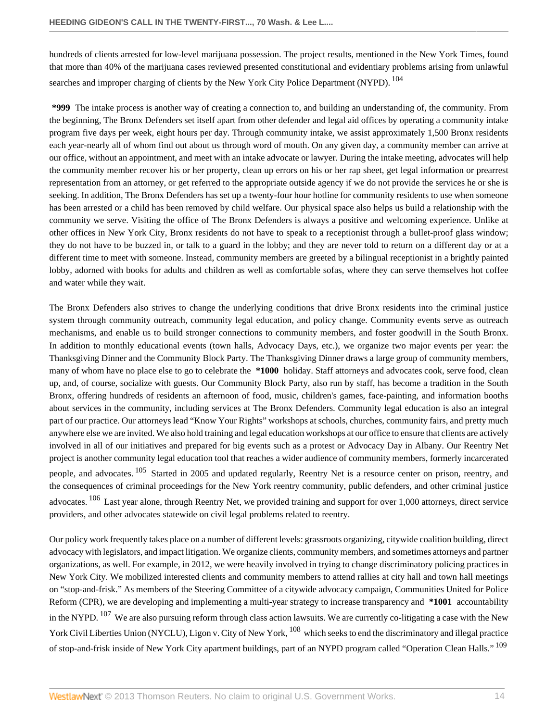<span id="page-13-0"></span>hundreds of clients arrested for low-level marijuana possession. The project results, mentioned in the New York Times, found that more than 40% of the marijuana cases reviewed presented constitutional and evidentiary problems arising from unlawful searches and improper charging of clients by the New York City Police Department (NYPD). <sup>[104](#page-28-8)</sup>

**\*999** The intake process is another way of creating a connection to, and building an understanding of, the community. From the beginning, The Bronx Defenders set itself apart from other defender and legal aid offices by operating a community intake program five days per week, eight hours per day. Through community intake, we assist approximately 1,500 Bronx residents each year-nearly all of whom find out about us through word of mouth. On any given day, a community member can arrive at our office, without an appointment, and meet with an intake advocate or lawyer. During the intake meeting, advocates will help the community member recover his or her property, clean up errors on his or her rap sheet, get legal information or prearrest representation from an attorney, or get referred to the appropriate outside agency if we do not provide the services he or she is seeking. In addition, The Bronx Defenders has set up a twenty-four hour hotline for community residents to use when someone has been arrested or a child has been removed by child welfare. Our physical space also helps us build a relationship with the community we serve. Visiting the office of The Bronx Defenders is always a positive and welcoming experience. Unlike at other offices in New York City, Bronx residents do not have to speak to a receptionist through a bullet-proof glass window; they do not have to be buzzed in, or talk to a guard in the lobby; and they are never told to return on a different day or at a different time to meet with someone. Instead, community members are greeted by a bilingual receptionist in a brightly painted lobby, adorned with books for adults and children as well as comfortable sofas, where they can serve themselves hot coffee and water while they wait.

The Bronx Defenders also strives to change the underlying conditions that drive Bronx residents into the criminal justice system through community outreach, community legal education, and policy change. Community events serve as outreach mechanisms, and enable us to build stronger connections to community members, and foster goodwill in the South Bronx. In addition to monthly educational events (town halls, Advocacy Days, etc.), we organize two major events per year: the Thanksgiving Dinner and the Community Block Party. The Thanksgiving Dinner draws a large group of community members, many of whom have no place else to go to celebrate the **\*1000** holiday. Staff attorneys and advocates cook, serve food, clean up, and, of course, socialize with guests. Our Community Block Party, also run by staff, has become a tradition in the South Bronx, offering hundreds of residents an afternoon of food, music, children's games, face-painting, and information booths about services in the community, including services at The Bronx Defenders. Community legal education is also an integral part of our practice. Our attorneys lead "Know Your Rights" workshops at schools, churches, community fairs, and pretty much anywhere else we are invited. We also hold training and legal education workshops at our office to ensure that clients are actively involved in all of our initiatives and prepared for big events such as a protest or Advocacy Day in Albany. Our Reentry Net project is another community legal education tool that reaches a wider audience of community members, formerly incarcerated people, and advocates. <sup>[105](#page-28-9)</sup> Started in 2005 and updated regularly, Reentry Net is a resource center on prison, reentry, and the consequences of criminal proceedings for the New York reentry community, public defenders, and other criminal justice advocates. <sup>[106](#page-28-10)</sup> Last year alone, through Reentry Net, we provided training and support for over 1,000 attorneys, direct service providers, and other advocates statewide on civil legal problems related to reentry.

<span id="page-13-5"></span><span id="page-13-4"></span><span id="page-13-3"></span><span id="page-13-2"></span><span id="page-13-1"></span>Our policy work frequently takes place on a number of different levels: grassroots organizing, citywide coalition building, direct advocacy with legislators, and impact litigation. We organize clients, community members, and sometimes attorneys and partner organizations, as well. For example, in 2012, we were heavily involved in trying to change discriminatory policing practices in New York City. We mobilized interested clients and community members to attend rallies at city hall and town hall meetings on "stop-and-frisk." As members of the Steering Committee of a citywide advocacy campaign, Communities United for Police Reform (CPR), we are developing and implementing a multi-year strategy to increase transparency and **\*1001** accountability in the NYPD. <sup>[107](#page-28-11)</sup> We are also pursuing reform through class action lawsuits. We are currently co-litigating a case with the New York Civil Liberties Union (NYCLU), Ligon v. City of New York, <sup>[108](#page-28-12)</sup> which seeks to end the discriminatory and illegal practice of stop-and-frisk inside of New York City apartment buildings, part of an NYPD program called "Operation Clean Halls." [109](#page-28-13)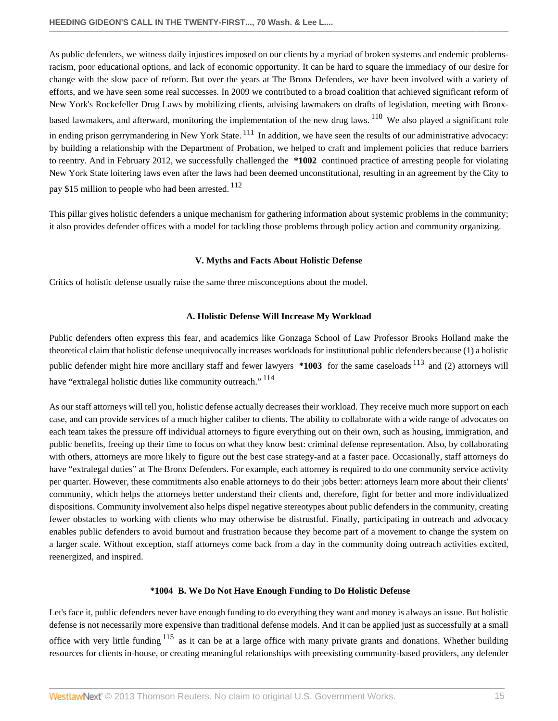As public defenders, we witness daily injustices imposed on our clients by a myriad of broken systems and endemic problemsracism, poor educational options, and lack of economic opportunity. It can be hard to square the immediacy of our desire for change with the slow pace of reform. But over the years at The Bronx Defenders, we have been involved with a variety of efforts, and we have seen some real successes. In 2009 we contributed to a broad coalition that achieved significant reform of New York's Rockefeller Drug Laws by mobilizing clients, advising lawmakers on drafts of legislation, meeting with Bronxbased lawmakers, and afterward, monitoring the implementation of the new drug laws. [110](#page-28-14) We also played a significant role in ending prison gerrymandering in New York State. <sup>[111](#page-28-15)</sup> In addition, we have seen the results of our administrative advocacy: by building a relationship with the Department of Probation, we helped to craft and implement policies that reduce barriers to reentry. And in February 2012, we successfully challenged the **\*1002** continued practice of arresting people for violating New York State loitering laws even after the laws had been deemed unconstitutional, resulting in an agreement by the City to pay \$15 million to people who had been arrested. <sup>[112](#page-28-16)</sup>

This pillar gives holistic defenders a unique mechanism for gathering information about systemic problems in the community; it also provides defender offices with a model for tackling those problems through policy action and community organizing.

#### <span id="page-14-5"></span><span id="page-14-4"></span><span id="page-14-3"></span>**V. Myths and Facts About Holistic Defense**

<span id="page-14-0"></span>Critics of holistic defense usually raise the same three misconceptions about the model.

#### <span id="page-14-7"></span><span id="page-14-6"></span>**A. Holistic Defense Will Increase My Workload**

<span id="page-14-1"></span>Public defenders often express this fear, and academics like Gonzaga School of Law Professor Brooks Holland make the theoretical claim that holistic defense unequivocally increases workloads for institutional public defenders because (1) a holistic public defender might hire more ancillary staff and fewer lawyers **\*1003** for the same caseloads [113](#page-28-17) and (2) attorneys will have "extralegal holistic duties like community outreach." [114](#page-29-0)

As our staff attorneys will tell you, holistic defense actually decreases their workload. They receive much more support on each case, and can provide services of a much higher caliber to clients. The ability to collaborate with a wide range of advocates on each team takes the pressure off individual attorneys to figure everything out on their own, such as housing, immigration, and public benefits, freeing up their time to focus on what they know best: criminal defense representation. Also, by collaborating with others, attorneys are more likely to figure out the best case strategy-and at a faster pace. Occasionally, staff attorneys do have "extralegal duties" at The Bronx Defenders. For example, each attorney is required to do one community service activity per quarter. However, these commitments also enable attorneys to do their jobs better: attorneys learn more about their clients' community, which helps the attorneys better understand their clients and, therefore, fight for better and more individualized dispositions. Community involvement also helps dispel negative stereotypes about public defenders in the community, creating fewer obstacles to working with clients who may otherwise be distrustful. Finally, participating in outreach and advocacy enables public defenders to avoid burnout and frustration because they become part of a movement to change the system on a larger scale. Without exception, staff attorneys come back from a day in the community doing outreach activities excited, reenergized, and inspired.

#### <span id="page-14-8"></span>**\*1004 B. We Do Not Have Enough Funding to Do Holistic Defense**

<span id="page-14-2"></span>Let's face it, public defenders never have enough funding to do everything they want and money is always an issue. But holistic defense is not necessarily more expensive than traditional defense models. And it can be applied just as successfully at a small office with very little funding  $115$  as it can be at a large office with many private grants and donations. Whether building resources for clients in-house, or creating meaningful relationships with preexisting community-based providers, any defender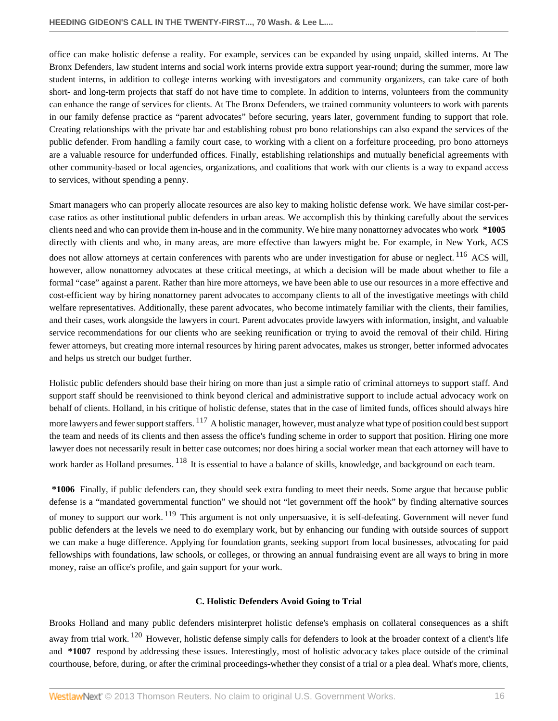office can make holistic defense a reality. For example, services can be expanded by using unpaid, skilled interns. At The Bronx Defenders, law student interns and social work interns provide extra support year-round; during the summer, more law student interns, in addition to college interns working with investigators and community organizers, can take care of both short- and long-term projects that staff do not have time to complete. In addition to interns, volunteers from the community can enhance the range of services for clients. At The Bronx Defenders, we trained community volunteers to work with parents in our family defense practice as "parent advocates" before securing, years later, government funding to support that role. Creating relationships with the private bar and establishing robust pro bono relationships can also expand the services of the public defender. From handling a family court case, to working with a client on a forfeiture proceeding, pro bono attorneys are a valuable resource for underfunded offices. Finally, establishing relationships and mutually beneficial agreements with other community-based or local agencies, organizations, and coalitions that work with our clients is a way to expand access to services, without spending a penny.

<span id="page-15-1"></span>Smart managers who can properly allocate resources are also key to making holistic defense work. We have similar cost-percase ratios as other institutional public defenders in urban areas. We accomplish this by thinking carefully about the services clients need and who can provide them in-house and in the community. We hire many nonattorney advocates who work **\*1005** directly with clients and who, in many areas, are more effective than lawyers might be. For example, in New York, ACS does not allow attorneys at certain conferences with parents who are under investigation for abuse or neglect.<sup>[116](#page-29-2)</sup> ACS will, however, allow nonattorney advocates at these critical meetings, at which a decision will be made about whether to file a formal "case" against a parent. Rather than hire more attorneys, we have been able to use our resources in a more effective and cost-efficient way by hiring nonattorney parent advocates to accompany clients to all of the investigative meetings with child welfare representatives. Additionally, these parent advocates, who become intimately familiar with the clients, their families, and their cases, work alongside the lawyers in court. Parent advocates provide lawyers with information, insight, and valuable service recommendations for our clients who are seeking reunification or trying to avoid the removal of their child. Hiring fewer attorneys, but creating more internal resources by hiring parent advocates, makes us stronger, better informed advocates and helps us stretch our budget further.

<span id="page-15-2"></span>Holistic public defenders should base their hiring on more than just a simple ratio of criminal attorneys to support staff. And support staff should be reenvisioned to think beyond clerical and administrative support to include actual advocacy work on behalf of clients. Holland, in his critique of holistic defense, states that in the case of limited funds, offices should always hire more lawyers and fewer support staffers. <sup>[117](#page-29-3)</sup> A holistic manager, however, must analyze what type of position could best support the team and needs of its clients and then assess the office's funding scheme in order to support that position. Hiring one more lawyer does not necessarily result in better case outcomes; nor does hiring a social worker mean that each attorney will have to work harder as Holland presumes. <sup>[118](#page-29-4)</sup> It is essential to have a balance of skills, knowledge, and background on each team.

<span id="page-15-3"></span>**\*1006** Finally, if public defenders can, they should seek extra funding to meet their needs. Some argue that because public defense is a "mandated governmental function" we should not "let government off the hook" by finding alternative sources of money to support our work. <sup>[119](#page-29-5)</sup> This argument is not only unpersuasive, it is self-defeating. Government will never fund public defenders at the levels we need to do exemplary work, but by enhancing our funding with outside sources of support we can make a huge difference. Applying for foundation grants, seeking support from local businesses, advocating for paid fellowships with foundations, law schools, or colleges, or throwing an annual fundraising event are all ways to bring in more money, raise an office's profile, and gain support for your work.

# <span id="page-15-5"></span><span id="page-15-4"></span>**C. Holistic Defenders Avoid Going to Trial**

<span id="page-15-0"></span>Brooks Holland and many public defenders misinterpret holistic defense's emphasis on collateral consequences as a shift away from trial work. <sup>[120](#page-29-6)</sup> However, holistic defense simply calls for defenders to look at the broader context of a client's life and **\*1007** respond by addressing these issues. Interestingly, most of holistic advocacy takes place outside of the criminal courthouse, before, during, or after the criminal proceedings-whether they consist of a trial or a plea deal. What's more, clients,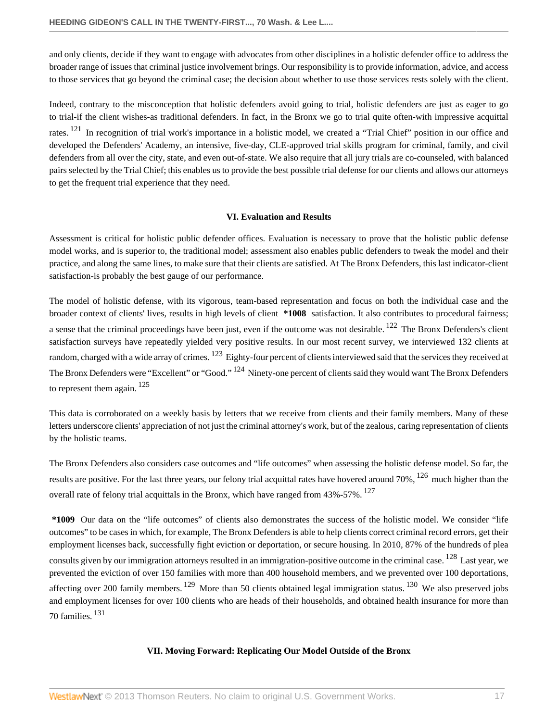and only clients, decide if they want to engage with advocates from other disciplines in a holistic defender office to address the broader range of issues that criminal justice involvement brings. Our responsibility is to provide information, advice, and access to those services that go beyond the criminal case; the decision about whether to use those services rests solely with the client.

<span id="page-16-2"></span>Indeed, contrary to the misconception that holistic defenders avoid going to trial, holistic defenders are just as eager to go to trial-if the client wishes-as traditional defenders. In fact, in the Bronx we go to trial quite often-with impressive acquittal rates. <sup>[121](#page-29-7)</sup> In recognition of trial work's importance in a holistic model, we created a "Trial Chief" position in our office and developed the Defenders' Academy, an intensive, five-day, CLE-approved trial skills program for criminal, family, and civil defenders from all over the city, state, and even out-of-state. We also require that all jury trials are co-counseled, with balanced pairs selected by the Trial Chief; this enables us to provide the best possible trial defense for our clients and allows our attorneys to get the frequent trial experience that they need.

### <span id="page-16-7"></span><span id="page-16-5"></span><span id="page-16-4"></span><span id="page-16-3"></span>**VI. Evaluation and Results**

<span id="page-16-0"></span>Assessment is critical for holistic public defender offices. Evaluation is necessary to prove that the holistic public defense model works, and is superior to, the traditional model; assessment also enables public defenders to tweak the model and their practice, and along the same lines, to make sure that their clients are satisfied. At The Bronx Defenders, this last indicator-client satisfaction-is probably the best gauge of our performance.

The model of holistic defense, with its vigorous, team-based representation and focus on both the individual case and the broader context of clients' lives, results in high levels of client **\*1008** satisfaction. It also contributes to procedural fairness; a sense that the criminal proceedings have been just, even if the outcome was not desirable. <sup>[122](#page-29-8)</sup> The Bronx Defenders's client satisfaction surveys have repeatedly yielded very positive results. In our most recent survey, we interviewed 132 clients at random, charged with a wide array of crimes. <sup>[123](#page-29-9)</sup> Eighty-four percent of clients interviewed said that the services they received at The Bronx Defenders were "Excellent" or "Good." <sup>[124](#page-29-10)</sup> Ninety-one percent of clients said they would want The Bronx Defenders to represent them again. [125](#page-29-11)

<span id="page-16-6"></span>This data is corroborated on a weekly basis by letters that we receive from clients and their family members. Many of these letters underscore clients' appreciation of not just the criminal attorney's work, but of the zealous, caring representation of clients by the holistic teams.

The Bronx Defenders also considers case outcomes and "life outcomes" when assessing the holistic defense model. So far, the results are positive. For the last three years, our felony trial acquittal rates have hovered around 70%, <sup>[126](#page-29-12)</sup> much higher than the overall rate of felony trial acquittals in the Bronx, which have ranged from 43%-57%. <sup>[127](#page-29-13)</sup>

**\*1009** Our data on the "life outcomes" of clients also demonstrates the success of the holistic model. We consider "life outcomes" to be cases in which, for example, The Bronx Defenders is able to help clients correct criminal record errors, get their employment licenses back, successfully fight eviction or deportation, or secure housing. In 2010, 87% of the hundreds of plea consults given by our immigration attorneys resulted in an immigration-positive outcome in the criminal case. <sup>[128](#page-29-14)</sup> Last year, we prevented the eviction of over 150 families with more than 400 household members, and we prevented over 100 deportations, affecting over 200 family members. <sup>[129](#page-29-15)</sup> More than 50 clients obtained legal immigration status. <sup>[130](#page-30-0)</sup> We also preserved jobs and employment licenses for over 100 clients who are heads of their households, and obtained health insurance for more than 70 families. [131](#page-30-1)

#### <span id="page-16-12"></span><span id="page-16-11"></span><span id="page-16-10"></span><span id="page-16-9"></span><span id="page-16-8"></span><span id="page-16-1"></span>**VII. Moving Forward: Replicating Our Model Outside of the Bronx**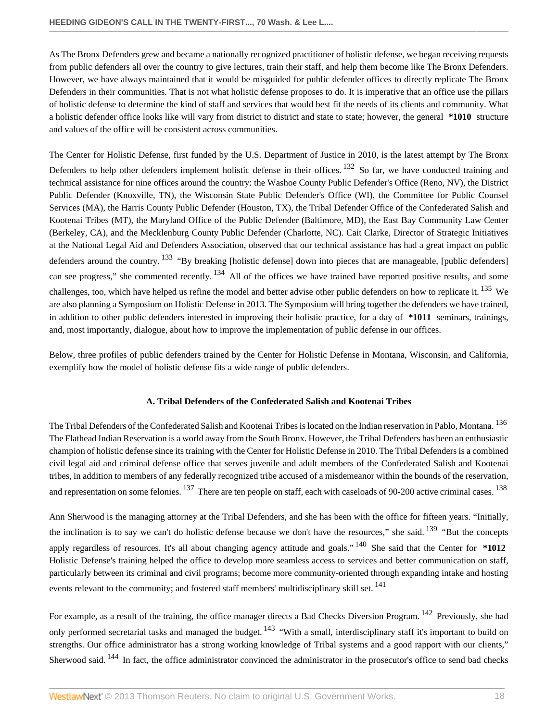As The Bronx Defenders grew and became a nationally recognized practitioner of holistic defense, we began receiving requests from public defenders all over the country to give lectures, train their staff, and help them become like The Bronx Defenders. However, we have always maintained that it would be misguided for public defender offices to directly replicate The Bronx Defenders in their communities. That is not what holistic defense proposes to do. It is imperative that an office use the pillars of holistic defense to determine the kind of staff and services that would best fit the needs of its clients and community. What a holistic defender office looks like will vary from district to district and state to state; however, the general **\*1010** structure and values of the office will be consistent across communities.

<span id="page-17-1"></span>The Center for Holistic Defense, first funded by the U.S. Department of Justice in 2010, is the latest attempt by The Bronx Defenders to help other defenders implement holistic defense in their offices. <sup>[132](#page-30-2)</sup> So far, we have conducted training and technical assistance for nine offices around the country: the Washoe County Public Defender's Office (Reno, NV), the District Public Defender (Knoxville, TN), the Wisconsin State Public Defender's Office (WI), the Committee for Public Counsel Services (MA), the Harris County Public Defender (Houston, TX), the Tribal Defender Office of the Confederated Salish and Kootenai Tribes (MT), the Maryland Office of the Public Defender (Baltimore, MD), the East Bay Community Law Center (Berkeley, CA), and the Mecklenburg County Public Defender (Charlotte, NC). Cait Clarke, Director of Strategic Initiatives at the National Legal Aid and Defenders Association, observed that our technical assistance has had a great impact on public defenders around the country. <sup>[133](#page-30-3)</sup> "By breaking [holistic defense] down into pieces that are manageable, [public defenders] can see progress," she commented recently.  $^{134}$  $^{134}$  $^{134}$  All of the offices we have trained have reported positive results, and some challenges, too, which have helped us refine the model and better advise other public defenders on how to replicate it.  $^{135}$  $^{135}$  $^{135}$  We are also planning a Symposium on Holistic Defense in 2013. The Symposium will bring together the defenders we have trained, in addition to other public defenders interested in improving their holistic practice, for a day of **\*1011** seminars, trainings, and, most importantly, dialogue, about how to improve the implementation of public defense in our offices.

Below, three profiles of public defenders trained by the Center for Holistic Defense in Montana, Wisconsin, and California, exemplify how the model of holistic defense fits a wide range of public defenders.

# <span id="page-17-11"></span><span id="page-17-10"></span><span id="page-17-9"></span><span id="page-17-8"></span><span id="page-17-7"></span><span id="page-17-6"></span><span id="page-17-5"></span><span id="page-17-4"></span><span id="page-17-3"></span><span id="page-17-2"></span>**A. Tribal Defenders of the Confederated Salish and Kootenai Tribes**

<span id="page-17-0"></span>The Tribal Defenders of the Confederated Salish and Kootenai Tribes is located on the Indian reservation in Pablo, Montana.<sup>[136](#page-30-6)</sup> The Flathead Indian Reservation is a world away from the South Bronx. However, the Tribal Defenders has been an enthusiastic champion of holistic defense since its training with the Center for Holistic Defense in 2010. The Tribal Defenders is a combined civil legal aid and criminal defense office that serves juvenile and adult members of the Confederated Salish and Kootenai tribes, in addition to members of any federally recognized tribe accused of a misdemeanor within the bounds of the reservation, and representation on some felonies. <sup>[137](#page-30-7)</sup> There are ten people on staff, each with caseloads of 90-200 active criminal cases. <sup>[138](#page-30-8)</sup>

Ann Sherwood is the managing attorney at the Tribal Defenders, and she has been with the office for fifteen years. "Initially, the inclination is to say we can't do holistic defense because we don't have the resources," she said.  $139$  "But the concepts apply regardless of resources. It's all about changing agency attitude and goals." [140](#page-30-10) She said that the Center for **\*1012** Holistic Defense's training helped the office to develop more seamless access to services and better communication on staff, particularly between its criminal and civil programs; become more community-oriented through expanding intake and hosting events relevant to the community; and fostered staff members' multidisciplinary skill set. <sup>[141](#page-30-11)</sup>

<span id="page-17-13"></span><span id="page-17-12"></span>For example, as a result of the training, the office manager directs a Bad Checks Diversion Program. <sup>[142](#page-30-12)</sup> Previously, she had only performed secretarial tasks and managed the budget. <sup>[143](#page-30-13)</sup> "With a small, interdisciplinary staff it's important to build on strengths. Our office administrator has a strong working knowledge of Tribal systems and a good rapport with our clients," Sherwood said. <sup>[144](#page-30-14)</sup> In fact, the office administrator convinced the administrator in the prosecutor's office to send bad checks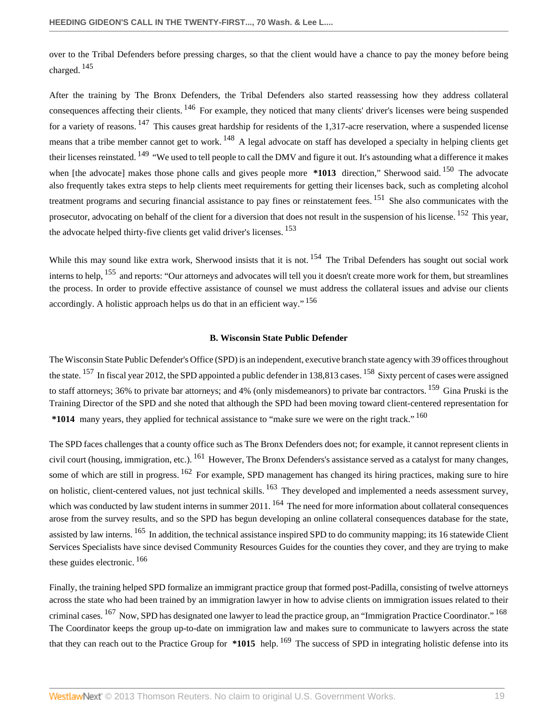<span id="page-18-1"></span>over to the Tribal Defenders before pressing charges, so that the client would have a chance to pay the money before being charged. [145](#page-30-15)

<span id="page-18-5"></span><span id="page-18-4"></span><span id="page-18-3"></span><span id="page-18-2"></span>After the training by The Bronx Defenders, the Tribal Defenders also started reassessing how they address collateral consequences affecting their clients. <sup>[146](#page-30-16)</sup> For example, they noticed that many clients' driver's licenses were being suspended for a variety of reasons.  $^{147}$  $^{147}$  $^{147}$  This causes great hardship for residents of the 1,317-acre reservation, where a suspended license means that a tribe member cannot get to work. <sup>[148](#page-30-18)</sup> A legal advocate on staff has developed a specialty in helping clients get their licenses reinstated. <sup>[149](#page-30-19)</sup> "We used to tell people to call the DMV and figure it out. It's astounding what a difference it makes when [the advocate] makes those phone calls and gives people more **\*1013** direction," Sherwood said. <sup>[150](#page-30-20)</sup> The advocate also frequently takes extra steps to help clients meet requirements for getting their licenses back, such as completing alcohol treatment programs and securing financial assistance to pay fines or reinstatement fees. [151](#page-30-21) She also communicates with the prosecutor, advocating on behalf of the client for a diversion that does not result in the suspension of his license. <sup>[152](#page-30-22)</sup> This year, the advocate helped thirty-five clients get valid driver's licenses. [153](#page-30-23)

<span id="page-18-11"></span>While this may sound like extra work, Sherwood insists that it is not. <sup>[154](#page-30-24)</sup> The Tribal Defenders has sought out social work interns to help, <sup>[155](#page-30-25)</sup> and reports: "Our attorneys and advocates will tell you it doesn't create more work for them, but streamlines the process. In order to provide effective assistance of counsel we must address the collateral issues and advise our clients accordingly. A holistic approach helps us do that in an efficient way."<sup>[156](#page-31-0)</sup>

#### <span id="page-18-24"></span><span id="page-18-20"></span><span id="page-18-19"></span><span id="page-18-17"></span><span id="page-18-16"></span><span id="page-18-15"></span><span id="page-18-14"></span><span id="page-18-12"></span><span id="page-18-10"></span><span id="page-18-9"></span><span id="page-18-8"></span><span id="page-18-7"></span><span id="page-18-6"></span>**B. Wisconsin State Public Defender**

<span id="page-18-13"></span><span id="page-18-0"></span>The Wisconsin State Public Defender's Office (SPD) is an independent, executive branch state agency with 39 offices throughout the state. <sup>[157](#page-31-1)</sup> In fiscal year 2012, the SPD appointed a public defender in 138,813 cases. <sup>[158](#page-31-2)</sup> Sixty percent of cases were assigned to staff attorneys; 36% to private bar attorneys; and 4% (only misdemeanors) to private bar contractors. <sup>[159](#page-31-3)</sup> Gina Pruski is the Training Director of the SPD and she noted that although the SPD had been moving toward client-centered representation for **\*1014** many years, they applied for technical assistance to "make sure we were on the right track." [160](#page-31-4)

<span id="page-18-18"></span>The SPD faces challenges that a county office such as The Bronx Defenders does not; for example, it cannot represent clients in civil court (housing, immigration, etc.). <sup>[161](#page-31-5)</sup> However, The Bronx Defenders's assistance served as a catalyst for many changes, some of which are still in progress. <sup>[162](#page-31-6)</sup> For example, SPD management has changed its hiring practices, making sure to hire on holistic, client-centered values, not just technical skills. <sup>[163](#page-31-7)</sup> They developed and implemented a needs assessment survey, which was conducted by law student interns in summer 2011. <sup>[164](#page-31-8)</sup> The need for more information about collateral consequences arose from the survey results, and so the SPD has begun developing an online collateral consequences database for the state, assisted by law interns. <sup>[165](#page-31-9)</sup> In addition, the technical assistance inspired SPD to do community mapping; its 16 statewide Client Services Specialists have since devised Community Resources Guides for the counties they cover, and they are trying to make these guides electronic. [166](#page-31-10)

<span id="page-18-25"></span><span id="page-18-23"></span><span id="page-18-22"></span><span id="page-18-21"></span>Finally, the training helped SPD formalize an immigrant practice group that formed post-Padilla, consisting of twelve attorneys across the state who had been trained by an immigration lawyer in how to advise clients on immigration issues related to their criminal cases. <sup>[167](#page-31-11)</sup> Now, SPD has designated one lawyer to lead the practice group, an "Immigration Practice Coordinator." <sup>[168](#page-31-12)</sup> The Coordinator keeps the group up-to-date on immigration law and makes sure to communicate to lawyers across the state that they can reach out to the Practice Group for **\*1015** help. [169](#page-31-13) The success of SPD in integrating holistic defense into its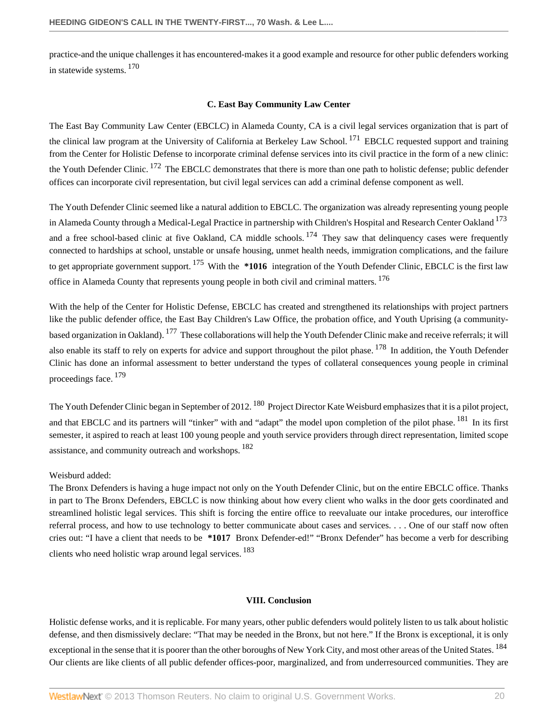<span id="page-19-2"></span>practice-and the unique challenges it has encountered-makes it a good example and resource for other public defenders working in statewide systems. [170](#page-31-14)

## <span id="page-19-8"></span><span id="page-19-6"></span><span id="page-19-5"></span><span id="page-19-4"></span><span id="page-19-3"></span>**C. East Bay Community Law Center**

<span id="page-19-0"></span>The East Bay Community Law Center (EBCLC) in Alameda County, CA is a civil legal services organization that is part of the clinical law program at the University of California at Berkeley Law School.<sup>[171](#page-31-15)</sup> EBCLC requested support and training from the Center for Holistic Defense to incorporate criminal defense services into its civil practice in the form of a new clinic: the Youth Defender Clinic. <sup>[172](#page-31-16)</sup> The EBCLC demonstrates that there is more than one path to holistic defense; public defender offices can incorporate civil representation, but civil legal services can add a criminal defense component as well.

The Youth Defender Clinic seemed like a natural addition to EBCLC. The organization was already representing young people in Alameda County through a Medical-Legal Practice in partnership with Children's Hospital and Research Center Oakland <sup>[173](#page-31-17)</sup> and a free school-based clinic at five Oakland, CA middle schools.  $^{174}$  $^{174}$  $^{174}$  They saw that delinquency cases were frequently connected to hardships at school, unstable or unsafe housing, unmet health needs, immigration complications, and the failure to get appropriate government support. [175](#page-31-19) With the **\*1016** integration of the Youth Defender Clinic, EBCLC is the first law office in Alameda County that represents young people in both civil and criminal matters. <sup>[176](#page-31-20)</sup>

<span id="page-19-9"></span><span id="page-19-7"></span>With the help of the Center for Holistic Defense, EBCLC has created and strengthened its relationships with project partners like the public defender office, the East Bay Children's Law Office, the probation office, and Youth Uprising (a community-based organization in Oakland). <sup>[177](#page-31-21)</sup> These collaborations will help the Youth Defender Clinic make and receive referrals; it will also enable its staff to rely on experts for advice and support throughout the pilot phase. <sup>[178](#page-31-22)</sup> In addition, the Youth Defender Clinic has done an informal assessment to better understand the types of collateral consequences young people in criminal proceedings face. [179](#page-31-23)

<span id="page-19-11"></span>The Youth Defender Clinic began in September of 2012. <sup>[180](#page-31-24)</sup> Project Director Kate Weisburd emphasizes that it is a pilot project, and that EBCLC and its partners will "tinker" with and "adapt" the model upon completion of the pilot phase. <sup>[181](#page-31-25)</sup> In its first semester, it aspired to reach at least 100 young people and youth service providers through direct representation, limited scope assistance, and community outreach and workshops. <sup>[182](#page-32-0)</sup>

# Weisburd added:

The Bronx Defenders is having a huge impact not only on the Youth Defender Clinic, but on the entire EBCLC office. Thanks in part to The Bronx Defenders, EBCLC is now thinking about how every client who walks in the door gets coordinated and streamlined holistic legal services. This shift is forcing the entire office to reevaluate our intake procedures, our interoffice referral process, and how to use technology to better communicate about cases and services. . . . One of our staff now often cries out: "I have a client that needs to be **\*1017** Bronx Defender-ed!" "Bronx Defender" has become a verb for describing clients who need holistic wrap around legal services. [183](#page-32-1)

# <span id="page-19-16"></span><span id="page-19-15"></span><span id="page-19-14"></span><span id="page-19-13"></span><span id="page-19-12"></span><span id="page-19-10"></span>**VIII. Conclusion**

<span id="page-19-1"></span>Holistic defense works, and it is replicable. For many years, other public defenders would politely listen to us talk about holistic defense, and then dismissively declare: "That may be needed in the Bronx, but not here." If the Bronx is exceptional, it is only exceptional in the sense that it is poorer than the other boroughs of New York City, and most other areas of the United States. <sup>[184](#page-32-2)</sup> Our clients are like clients of all public defender offices-poor, marginalized, and from underresourced communities. They are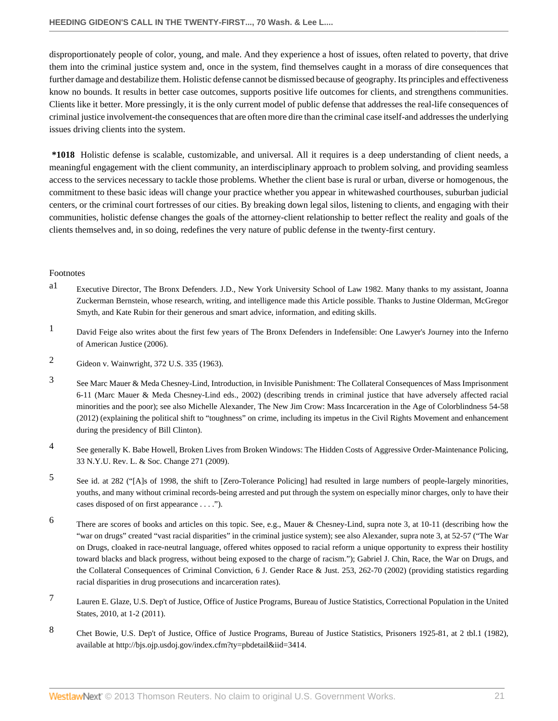disproportionately people of color, young, and male. And they experience a host of issues, often related to poverty, that drive them into the criminal justice system and, once in the system, find themselves caught in a morass of dire consequences that further damage and destabilize them. Holistic defense cannot be dismissed because of geography. Its principles and effectiveness know no bounds. It results in better case outcomes, supports positive life outcomes for clients, and strengthens communities. Clients like it better. More pressingly, it is the only current model of public defense that addresses the real-life consequences of criminal justice involvement-the consequences that are often more dire than the criminal case itself-and addresses the underlying issues driving clients into the system.

**\*1018** Holistic defense is scalable, customizable, and universal. All it requires is a deep understanding of client needs, a meaningful engagement with the client community, an interdisciplinary approach to problem solving, and providing seamless access to the services necessary to tackle those problems. Whether the client base is rural or urban, diverse or homogenous, the commitment to these basic ideas will change your practice whether you appear in whitewashed courthouses, suburban judicial centers, or the criminal court fortresses of our cities. By breaking down legal silos, listening to clients, and engaging with their communities, holistic defense changes the goals of the attorney-client relationship to better reflect the reality and goals of the clients themselves and, in so doing, redefines the very nature of public defense in the twenty-first century.

# Footnotes

- <span id="page-20-0"></span>[a1](#page-0-1) Executive Director, The Bronx Defenders. J.D., New York University School of Law 1982. Many thanks to my assistant, Joanna Zuckerman Bernstein, whose research, writing, and intelligence made this Article possible. Thanks to Justine Olderman, McGregor Smyth, and Kate Rubin for their generous and smart advice, information, and editing skills.
- <span id="page-20-1"></span>[1](#page-0-2) David Feige also writes about the first few years of The Bronx Defenders in Indefensible: One Lawyer's Journey into the Inferno of American Justice (2006).
- <span id="page-20-2"></span>[2](#page-1-1) [Gideon v. Wainwright, 372 U.S. 335 \(1963\).](http://www.westlaw.com/Link/Document/FullText?findType=Y&serNum=1963125313&pubNum=0000780&originationContext=document&vr=3.0&rs=cblt1.0&transitionType=DocumentItem&contextData=(sc.History*oc.Search))
- <span id="page-20-3"></span>[3](#page-2-0) See Marc Mauer & Meda Chesney-Lind, Introduction, in Invisible Punishment: The Collateral Consequences of Mass Imprisonment 6-11 (Marc Mauer & Meda Chesney-Lind eds., 2002) (describing trends in criminal justice that have adversely affected racial minorities and the poor); see also Michelle Alexander, The New Jim Crow: Mass Incarceration in the Age of Colorblindness 54-58 (2012) (explaining the political shift to "toughness" on crime, including its impetus in the Civil Rights Movement and enhancement during the presidency of Bill Clinton).
- <span id="page-20-4"></span>[4](#page-2-1) See generally K. Babe Howell, [Broken Lives from Broken Windows: The Hidden Costs of Aggressive Order-Maintenance Policing,](http://www.westlaw.com/Link/Document/FullText?findType=Y&serNum=0346475296&pubNum=0001207&originationContext=document&vr=3.0&rs=cblt1.0&transitionType=DocumentItem&contextData=(sc.History*oc.Search)) [33 N.Y.U. Rev. L. & Soc. Change 271 \(2009\)](http://www.westlaw.com/Link/Document/FullText?findType=Y&serNum=0346475296&pubNum=0001207&originationContext=document&vr=3.0&rs=cblt1.0&transitionType=DocumentItem&contextData=(sc.History*oc.Search)).
- <span id="page-20-5"></span>[5](#page-2-2) See [id. at 282](http://www.westlaw.com/Link/Document/FullText?findType=Y&serNum=0346475296&pubNum=0001207&originationContext=document&vr=3.0&rs=cblt1.0&transitionType=DocumentItem&contextData=(sc.History*oc.Search)#co_pp_sp_1207_282) ("[A]s of 1998, the shift to [Zero-Tolerance Policing] had resulted in large numbers of people-largely minorities, youths, and many without criminal records-being arrested and put through the system on especially minor charges, only to have their cases disposed of on first appearance . . . .").
- <span id="page-20-6"></span>[6](#page-2-3) There are scores of books and articles on this topic. See, e.g., Mauer & Chesney-Lind, supra note 3, at 10-11 (describing how the "war on drugs" created "vast racial disparities" in the criminal justice system); see also Alexander, supra note 3, at 52-57 ("The War on Drugs, cloaked in race-neutral language, offered whites opposed to racial reform a unique opportunity to express their hostility toward blacks and black progress, without being exposed to the charge of racism."); Gabriel J. Chin, [Race, the War on Drugs, and](http://www.westlaw.com/Link/Document/FullText?findType=Y&serNum=0293004891&pubNum=0115822&originationContext=document&vr=3.0&rs=cblt1.0&transitionType=DocumentItem&contextData=(sc.History*oc.Search)#co_pp_sp_115822_262) [the Collateral Consequences of Criminal Conviction, 6 J. Gender Race & Just. 253, 262-70 \(2002\)](http://www.westlaw.com/Link/Document/FullText?findType=Y&serNum=0293004891&pubNum=0115822&originationContext=document&vr=3.0&rs=cblt1.0&transitionType=DocumentItem&contextData=(sc.History*oc.Search)#co_pp_sp_115822_262) (providing statistics regarding racial disparities in drug prosecutions and incarceration rates).
- <span id="page-20-7"></span>[7](#page-2-4) Lauren E. Glaze, U.S. Dep't of Justice, Office of Justice Programs, Bureau of Justice Statistics, Correctional Population in the United States, 2010, at 1-2 (2011).
- <span id="page-20-8"></span>[8](#page-2-5) Chet Bowie, U.S. Dep't of Justice, Office of Justice Programs, Bureau of Justice Statistics, Prisoners 1925-81, at 2 tbl.1 (1982), available at http://bjs.ojp.usdoj.gov/index.cfm?ty=pbdetail&iid=3414.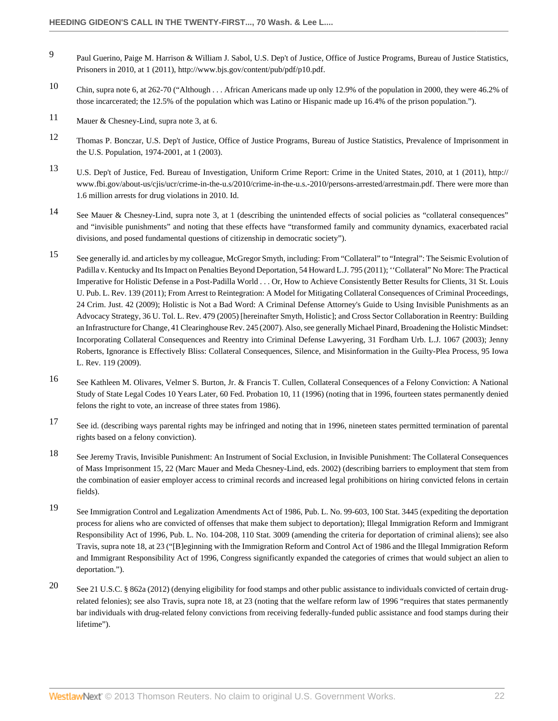- <span id="page-21-0"></span>[9](#page-2-6) Paul Guerino, Paige M. Harrison & William J. Sabol, U.S. Dep't of Justice, Office of Justice Programs, Bureau of Justice Statistics, Prisoners in 2010, at 1 (2011), http://www.bjs.gov/content/pub/pdf/p10.pdf.
- <span id="page-21-1"></span>[10](#page-2-7) Chin, supra note 6, at 262-70 ("Although . . . African Americans made up only 12.9% of the population in 2000, they were 46.2% of those incarcerated; the 12.5% of the population which was Latino or Hispanic made up 16.4% of the prison population.").
- <span id="page-21-2"></span>[11](#page-2-8) Mauer & Chesney-Lind, supra note 3, at 6.
- <span id="page-21-3"></span>[12](#page-2-9) Thomas P. Bonczar, U.S. Dep't of Justice, Office of Justice Programs, Bureau of Justice Statistics, Prevalence of Imprisonment in the U.S. Population, 1974-2001, at 1 (2003).
- <span id="page-21-4"></span>[13](#page-2-10) U.S. Dep't of Justice, Fed. Bureau of Investigation, Uniform Crime Report: Crime in the United States, 2010, at 1 (2011), http:// www.fbi.gov/about-us/cjis/ucr/crime-in-the-u.s/2010/crime-in-the-u.s.-2010/persons-arrested/arrestmain.pdf. There were more than 1.6 million arrests for drug violations in 2010. Id.
- <span id="page-21-5"></span>[14](#page-2-11) See Mauer & Chesney-Lind, supra note 3, at 1 (describing the unintended effects of social policies as "collateral consequences" and "invisible punishments" and noting that these effects have "transformed family and community dynamics, exacerbated racial divisions, and posed fundamental questions of citizenship in democratic society").
- <span id="page-21-6"></span>[15](#page-2-12) See generally id. and articles by my colleague, McGregor Smyth, including: [From "Collateral" to "Integral": The Seismic Evolution of](http://www.westlaw.com/Link/Document/FullText?findType=Y&serNum=0363667418&pubNum=0001531&originationContext=document&vr=3.0&rs=cblt1.0&transitionType=DocumentItem&contextData=(sc.History*oc.Search)) [Padilla v. Kentucky and Its Impact on Penalties Beyond Deportation, 54 Howard L.J. 795 \(2011\);](http://www.westlaw.com/Link/Document/FullText?findType=Y&serNum=0363667418&pubNum=0001531&originationContext=document&vr=3.0&rs=cblt1.0&transitionType=DocumentItem&contextData=(sc.History*oc.Search)) '['Collateral" No More: The Practical](http://www.westlaw.com/Link/Document/FullText?findType=Y&serNum=0371903204&pubNum=0001615&originationContext=document&vr=3.0&rs=cblt1.0&transitionType=DocumentItem&contextData=(sc.History*oc.Search)) [Imperative for Holistic Defense in a Post-Padilla World . . . Or, How to Achieve Consistently Better Results for Clients, 31 St. Louis](http://www.westlaw.com/Link/Document/FullText?findType=Y&serNum=0371903204&pubNum=0001615&originationContext=document&vr=3.0&rs=cblt1.0&transitionType=DocumentItem&contextData=(sc.History*oc.Search)) [U. Pub. L. Rev. 139 \(2011\)](http://www.westlaw.com/Link/Document/FullText?findType=Y&serNum=0371903204&pubNum=0001615&originationContext=document&vr=3.0&rs=cblt1.0&transitionType=DocumentItem&contextData=(sc.History*oc.Search)); [From Arrest to Reintegration: A Model for Mitigating Collateral Consequences of Criminal Proceedings,](http://www.westlaw.com/Link/Document/FullText?findType=Y&serNum=0348008734&pubNum=0001447&originationContext=document&vr=3.0&rs=cblt1.0&transitionType=DocumentItem&contextData=(sc.History*oc.Search)) [24 Crim. Just. 42 \(2009\)](http://www.westlaw.com/Link/Document/FullText?findType=Y&serNum=0348008734&pubNum=0001447&originationContext=document&vr=3.0&rs=cblt1.0&transitionType=DocumentItem&contextData=(sc.History*oc.Search)); [Holistic is Not a Bad Word: A Criminal Defense Attorney's Guide to Using Invisible Punishments as an](http://www.westlaw.com/Link/Document/FullText?findType=Y&serNum=0304307008&pubNum=0002988&originationContext=document&vr=3.0&rs=cblt1.0&transitionType=DocumentItem&contextData=(sc.History*oc.Search)) [Advocacy Strategy, 36 U. Tol. L. Rev. 479 \(2005\)](http://www.westlaw.com/Link/Document/FullText?findType=Y&serNum=0304307008&pubNum=0002988&originationContext=document&vr=3.0&rs=cblt1.0&transitionType=DocumentItem&contextData=(sc.History*oc.Search)) [hereinafter Smyth, Holistic]; and Cross Sector Collaboration in Reentry: Building an Infrastructure for Change, 41 Clearinghouse Rev. 245 (2007). Also, see generally Michael Pinard, [Broadening the Holistic Mindset:](http://www.westlaw.com/Link/Document/FullText?findType=Y&serNum=0302772240&pubNum=0001143&originationContext=document&vr=3.0&rs=cblt1.0&transitionType=DocumentItem&contextData=(sc.History*oc.Search)) [Incorporating Collateral Consequences and Reentry into Criminal Defense Lawyering, 31 Fordham Urb. L.J. 1067 \(2003\);](http://www.westlaw.com/Link/Document/FullText?findType=Y&serNum=0302772240&pubNum=0001143&originationContext=document&vr=3.0&rs=cblt1.0&transitionType=DocumentItem&contextData=(sc.History*oc.Search)) Jenny Roberts, [Ignorance is Effectively Bliss: Collateral Consequences, Silence, and Misinformation in the Guilty-Plea Process, 95 Iowa](http://www.westlaw.com/Link/Document/FullText?findType=Y&serNum=0349158869&pubNum=0001168&originationContext=document&vr=3.0&rs=cblt1.0&transitionType=DocumentItem&contextData=(sc.History*oc.Search)) [L. Rev. 119 \(2009\).](http://www.westlaw.com/Link/Document/FullText?findType=Y&serNum=0349158869&pubNum=0001168&originationContext=document&vr=3.0&rs=cblt1.0&transitionType=DocumentItem&contextData=(sc.History*oc.Search))
- <span id="page-21-7"></span>[16](#page-2-13) See Kathleen M. Olivares, Velmer S. Burton, Jr. & Francis T. Cullen, [Collateral Consequences of a Felony Conviction: A National](http://www.westlaw.com/Link/Document/FullText?findType=Y&serNum=0107348784&pubNum=0100785&originationContext=document&vr=3.0&rs=cblt1.0&transitionType=DocumentItem&contextData=(sc.History*oc.Search)#co_pp_sp_100785_11) [Study of State Legal Codes 10 Years Later, 60 Fed. Probation 10, 11 \(1996\)](http://www.westlaw.com/Link/Document/FullText?findType=Y&serNum=0107348784&pubNum=0100785&originationContext=document&vr=3.0&rs=cblt1.0&transitionType=DocumentItem&contextData=(sc.History*oc.Search)#co_pp_sp_100785_11) (noting that in 1996, fourteen states permanently denied felons the right to vote, an increase of three states from 1986).
- <span id="page-21-8"></span>[17](#page-2-14) See id. (describing ways parental rights may be infringed and noting that in 1996, nineteen states permitted termination of parental rights based on a felony conviction).
- <span id="page-21-9"></span>[18](#page-2-15) See Jeremy Travis, Invisible Punishment: An Instrument of Social Exclusion, in Invisible Punishment: The Collateral Consequences of Mass Imprisonment 15, 22 (Marc Mauer and Meda Chesney-Lind, eds. 2002) (describing barriers to employment that stem from the combination of easier employer access to criminal records and increased legal prohibitions on hiring convicted felons in certain fields).
- <span id="page-21-10"></span>[19](#page-2-16) See Immigration Control and Legalization Amendments Act of 1986, [Pub. L. No. 99-603, 100 Stat. 3445](http://www.westlaw.com/Link/Document/FullText?findType=l&pubNum=1077005&cite=UUID(I975076B8DB-D349DBB749E-C8B81BBE0BB)&originationContext=document&vr=3.0&rs=cblt1.0&transitionType=DocumentItem&contextData=(sc.History*oc.Search)) (expediting the deportation process for aliens who are convicted of offenses that make them subject to deportation); Illegal Immigration Reform and Immigrant Responsibility Act of 1996, [Pub. L. No. 104-208, 110 Stat. 3009](http://www.westlaw.com/Link/Document/FullText?findType=l&pubNum=1077005&cite=UUID(I747341D64B-9E4A43B3D8A-975AE78FBD0)&originationContext=document&vr=3.0&rs=cblt1.0&transitionType=DocumentItem&contextData=(sc.History*oc.Search)) (amending the criteria for deportation of criminal aliens); see also Travis, supra note 18, at 23 ("[B]eginning with the Immigration Reform and Control Act of 1986 and the Illegal Immigration Reform and Immigrant Responsibility Act of 1996, Congress significantly expanded the categories of crimes that would subject an alien to deportation.").
- <span id="page-21-11"></span>[20](#page-2-17) See [21 U.S.C. § 862a \(2012\)](http://www.westlaw.com/Link/Document/FullText?findType=L&pubNum=1000546&cite=21USCAS862A&originatingDoc=Ibe29c611c98811e28578f7ccc38dcbee&refType=LQ&originationContext=document&vr=3.0&rs=cblt1.0&transitionType=DocumentItem&contextData=(sc.History*oc.Search)) (denying eligibility for food stamps and other public assistance to individuals convicted of certain drugrelated felonies); see also Travis, supra note 18, at 23 (noting that the welfare reform law of 1996 "requires that states permanently bar individuals with drug-related felony convictions from receiving federally-funded public assistance and food stamps during their lifetime").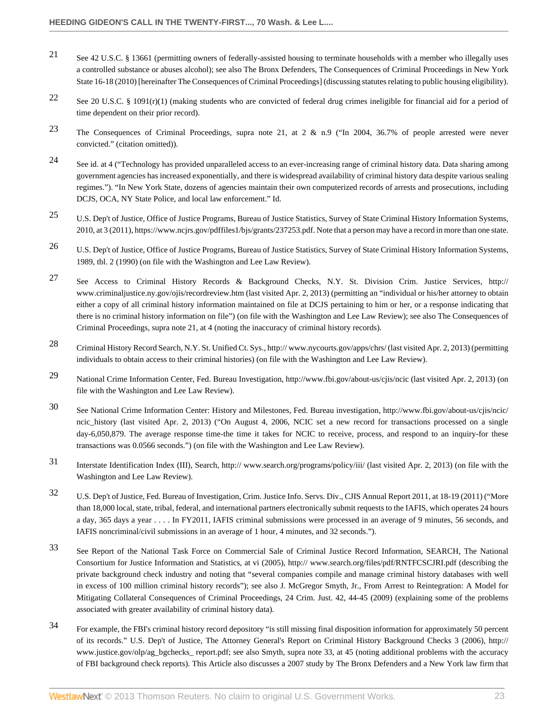- <span id="page-22-0"></span>[21](#page-2-18) See [42 U.S.C. § 13661](http://www.westlaw.com/Link/Document/FullText?findType=L&pubNum=1000546&cite=42USCAS13661&originatingDoc=Ibe29c611c98811e28578f7ccc38dcbee&refType=LQ&originationContext=document&vr=3.0&rs=cblt1.0&transitionType=DocumentItem&contextData=(sc.History*oc.Search)) (permitting owners of federally-assisted housing to terminate households with a member who illegally uses a controlled substance or abuses alcohol); see also The Bronx Defenders, The Consequences of Criminal Proceedings in New York State 16-18 (2010) [hereinafter The Consequences of Criminal Proceedings] (discussing statutes relating to public housing eligibility).
- <span id="page-22-1"></span>[22](#page-2-19) See [20 U.S.C. § 1091\(r\)\(1\)](http://www.westlaw.com/Link/Document/FullText?findType=L&pubNum=1000546&cite=20USCAS1091&originationContext=document&vr=3.0&rs=cblt1.0&transitionType=DocumentItem&contextData=(sc.History*oc.Search)#co_pp_14dc000059673) (making students who are convicted of federal drug crimes ineligible for financial aid for a period of time dependent on their prior record).
- <span id="page-22-2"></span>[23](#page-2-20) The Consequences of Criminal Proceedings, supra note 21, at 2 & n.9 ("In 2004, 36.7% of people arrested were never convicted." (citation omitted)).
- <span id="page-22-3"></span>[24](#page-2-21) See id. at 4 ("Technology has provided unparalleled access to an ever-increasing range of criminal history data. Data sharing among government agencies has increased exponentially, and there is widespread availability of criminal history data despite various sealing regimes."). "In New York State, dozens of agencies maintain their own computerized records of arrests and prosecutions, including DCJS, OCA, NY State Police, and local law enforcement." Id.
- <span id="page-22-4"></span>[25](#page-2-22) U.S. Dep't of Justice, Office of Justice Programs, Bureau of Justice Statistics, Survey of State Criminal History Information Systems, 2010, at 3 (2011), https://www.ncjrs.gov/pdffiles1/bjs/grants/237253.pdf. Note that a person may have a record in more than one state.
- <span id="page-22-5"></span>[26](#page-2-23) U.S. Dep't of Justice, Office of Justice Programs, Bureau of Justice Statistics, Survey of State Criminal History Information Systems, 1989, tbl. 2 (1990) (on file with the Washington and Lee Law Review).
- <span id="page-22-6"></span>[27](#page-2-24) See Access to Criminal History Records & Background Checks, N.Y. St. Division Crim. Justice Services, http:// www.criminaljustice.ny.gov/ojis/recordreview.htm (last visited Apr. 2, 2013) (permitting an "individual or his/her attorney to obtain either a copy of all criminal history information maintained on file at DCJS pertaining to him or her, or a response indicating that there is no criminal history information on file") (on file with the Washington and Lee Law Review); see also The Consequences of Criminal Proceedings, supra note 21, at 4 (noting the inaccuracy of criminal history records).
- <span id="page-22-7"></span>[28](#page-2-25) Criminal History Record Search, N.Y. St. Unified Ct. Sys., http:// www.nycourts.gov/apps/chrs/ (last visited Apr. 2, 2013) (permitting individuals to obtain access to their criminal histories) (on file with the Washington and Lee Law Review).
- <span id="page-22-8"></span>[29](#page-2-26) National Crime Information Center, Fed. Bureau Investigation, http://www.fbi.gov/about-us/cjis/ncic (last visited Apr. 2, 2013) (on file with the Washington and Lee Law Review).
- <span id="page-22-9"></span>[30](#page-2-27) See National Crime Information Center: History and Milestones, Fed. Bureau investigation, http://www.fbi.gov/about-us/cjis/ncic/ ncic history (last visited Apr. 2, 2013) ("On August 4, 2006, NCIC set a new record for transactions processed on a single day-6,050,879. The average response time-the time it takes for NCIC to receive, process, and respond to an inquiry-for these transactions was 0.0566 seconds.") (on file with the Washington and Lee Law Review).
- <span id="page-22-10"></span>[31](#page-2-28) Interstate Identification Index (III), Search, http:// www.search.org/programs/policy/iii/ (last visited Apr. 2, 2013) (on file with the Washington and Lee Law Review).
- <span id="page-22-11"></span>[32](#page-3-1) U.S. Dep't of Justice, Fed. Bureau of Investigation, Crim. Justice Info. Servs. Div., CJIS Annual Report 2011, at 18-19 (2011) ("More than 18,000 local, state, tribal, federal, and international partners electronically submit requests to the IAFIS, which operates 24 hours a day, 365 days a year . . . . In FY2011, IAFIS criminal submissions were processed in an average of 9 minutes, 56 seconds, and IAFIS noncriminal/civil submissions in an average of 1 hour, 4 minutes, and 32 seconds.").
- <span id="page-22-12"></span>[33](#page-3-2) See Report of the National Task Force on Commercial Sale of Criminal Justice Record Information, SEARCH, The National Consortium for Justice Information and Statistics, at vi (2005), http:// www.search.org/files/pdf/RNTFCSCJRI.pdf (describing the private background check industry and noting that "several companies compile and manage criminal history databases with well in excess of 100 million criminal history records"); see also J. McGregor Smyth, Jr., [From Arrest to Reintegration: A Model for](http://www.westlaw.com/Link/Document/FullText?findType=Y&serNum=0348008734&pubNum=0001447&originationContext=document&vr=3.0&rs=cblt1.0&transitionType=DocumentItem&contextData=(sc.History*oc.Search)#co_pp_sp_1447_44) [Mitigating Collateral Consequences of Criminal Proceedings, 24 Crim. Just. 42, 44-45 \(2009\)](http://www.westlaw.com/Link/Document/FullText?findType=Y&serNum=0348008734&pubNum=0001447&originationContext=document&vr=3.0&rs=cblt1.0&transitionType=DocumentItem&contextData=(sc.History*oc.Search)#co_pp_sp_1447_44) (explaining some of the problems associated with greater availability of criminal history data).
- <span id="page-22-13"></span>[34](#page-3-3) For example, the FBI's criminal history record depository "is still missing final disposition information for approximately 50 percent of its records." U.S. Dep't of Justice, The Attorney General's Report on Criminal History Background Checks 3 (2006), http:// www.justice.gov/olp/ag\_bgchecks\_ report.pdf; see also Smyth, supra note 33, at 45 (noting additional problems with the accuracy of FBI background check reports). This Article also discusses a 2007 study by The Bronx Defenders and a New York law firm that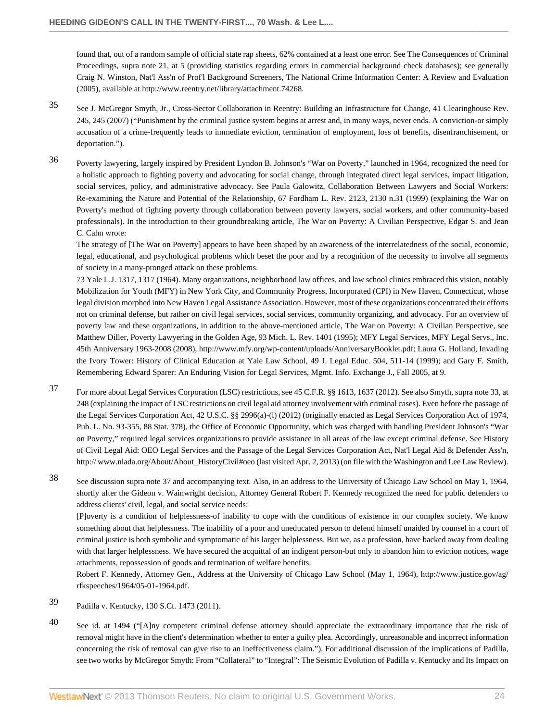found that, out of a random sample of official state rap sheets, 62% contained at a least one error. See The Consequences of Criminal Proceedings, supra note 21, at 5 (providing statistics regarding errors in commercial background check databases); see generally Craig N. Winston, Nat'l Ass'n of Prof'l Background Screeners, The National Crime Information Center: A Review and Evaluation (2005), available at http://www.reentry.net/library/attachment.74268.

- <span id="page-23-0"></span>[35](#page-3-4) See J. McGregor Smyth, Jr., Cross-Sector Collaboration in Reentry: Building an Infrastructure for Change, 41 Clearinghouse Rev. 245, 245 (2007) ("Punishment by the criminal justice system begins at arrest and, in many ways, never ends. A conviction-or simply accusation of a crime-frequently leads to immediate eviction, termination of employment, loss of benefits, disenfranchisement, or deportation.").
- <span id="page-23-1"></span>[36](#page-3-5) Poverty lawyering, largely inspired by President Lyndon B. Johnson's "War on Poverty," launched in 1964, recognized the need for a holistic approach to fighting poverty and advocating for social change, through integrated direct legal services, impact litigation, social services, policy, and administrative advocacy. See Paula Galowitz, [Collaboration Between Lawyers and Social Workers:](http://www.westlaw.com/Link/Document/FullText?findType=Y&serNum=0111318393&pubNum=0001142&originationContext=document&vr=3.0&rs=cblt1.0&transitionType=DocumentItem&contextData=(sc.History*oc.Search)#co_pp_sp_1142_2130) [Re-examining the Nature and Potential of the Relationship, 67 Fordham L. Rev. 2123, 2130 n.31 \(1999\)](http://www.westlaw.com/Link/Document/FullText?findType=Y&serNum=0111318393&pubNum=0001142&originationContext=document&vr=3.0&rs=cblt1.0&transitionType=DocumentItem&contextData=(sc.History*oc.Search)#co_pp_sp_1142_2130) (explaining the War on Poverty's method of fighting poverty through collaboration between poverty lawyers, social workers, and other community-based professionals). In the introduction to their groundbreaking article, The War on Poverty: A Civilian Perspective, Edgar S. and Jean C. Cahn wrote:

The strategy of [The War on Poverty] appears to have been shaped by an awareness of the interrelatedness of the social, economic, legal, educational, and psychological problems which beset the poor and by a recognition of the necessity to involve all segments of society in a many-pronged attack on these problems.

[73 Yale L.J. 1317, 1317 \(1964\).](http://www.westlaw.com/Link/Document/FullText?findType=Y&serNum=0332656912&pubNum=0001292&originationContext=document&vr=3.0&rs=cblt1.0&transitionType=DocumentItem&contextData=(sc.History*oc.Search)) Many organizations, neighborhood law offices, and law school clinics embraced this vision, notably Mobilization for Youth (MFY) in New York City, and Community Progress, Incorporated (CPI) in New Haven, Connecticut, whose legal division morphed into New Haven Legal Assistance Association. However, most of these organizations concentrated their efforts not on criminal defense, but rather on civil legal services, social services, community organizing, and advocacy. For an overview of poverty law and these organizations, in addition to the above-mentioned article, [The War on Poverty: A Civilian Perspective, see](http://www.westlaw.com/Link/Document/FullText?findType=Y&serNum=0105589735&pubNum=0001192&originationContext=document&vr=3.0&rs=cblt1.0&transitionType=DocumentItem&contextData=(sc.History*oc.Search)) [Matthew Diller, Poverty Lawyering in the Golden Age, 93 Mich. L. Rev. 1401 \(1995\);](http://www.westlaw.com/Link/Document/FullText?findType=Y&serNum=0105589735&pubNum=0001192&originationContext=document&vr=3.0&rs=cblt1.0&transitionType=DocumentItem&contextData=(sc.History*oc.Search)) MFY Legal Services, MFY Legal Servs., Inc. 45th Anniversary 1963-2008 (2008), http://www.mfy.org/wp-content/uploads/AnniversaryBooklet.pdf; Laura G. Holland, [Invading](http://www.westlaw.com/Link/Document/FullText?findType=Y&serNum=0118776725&pubNum=0003196&originationContext=document&vr=3.0&rs=cblt1.0&transitionType=DocumentItem&contextData=(sc.History*oc.Search)#co_pp_sp_3196_511) [the Ivory Tower: History of Clinical Education at Yale Law School, 49 J. Legal Educ. 504, 511-14 \(1999\)](http://www.westlaw.com/Link/Document/FullText?findType=Y&serNum=0118776725&pubNum=0003196&originationContext=document&vr=3.0&rs=cblt1.0&transitionType=DocumentItem&contextData=(sc.History*oc.Search)#co_pp_sp_3196_511); and Gary F. Smith, Remembering Edward Sparer: An Enduring Vision for Legal Services, Mgmt. Info. Exchange J., Fall 2005, at 9.

- <span id="page-23-2"></span>[37](#page-3-6) For more about Legal Services Corporation (LSC) restrictions, see 45 C.F.R. §§ 1613, 1637 (2012). See also Smyth, supra note 33, at 248 (explaining the impact of LSC restrictions on civil legal aid attorney involvement with criminal cases). Even before the passage of the Legal Services Corporation Act, [42 U.S.C. §§ 2996\(a\)-\(l\) \(2012\)](http://www.westlaw.com/Link/Document/FullText?findType=L&pubNum=1000546&cite=42USCAS2996&originatingDoc=Ibe29c611c98811e28578f7ccc38dcbee&refType=LQ&originationContext=document&vr=3.0&rs=cblt1.0&transitionType=DocumentItem&contextData=(sc.History*oc.Search)) (originally enacted as Legal Services Corporation Act of 1974, [Pub. L. No. 93-355, 88 Stat. 378\)](http://www.westlaw.com/Link/Document/FullText?findType=l&pubNum=1077005&cite=UUID(I0941655338-FA4429B5224-45AE666D505)&originationContext=document&vr=3.0&rs=cblt1.0&transitionType=DocumentItem&contextData=(sc.History*oc.Search)), the Office of Economic Opportunity, which was charged with handling President Johnson's "War on Poverty," required legal services organizations to provide assistance in all areas of the law except criminal defense. See History of Civil Legal Aid: OEO Legal Services and the Passage of the Legal Services Corporation Act, Nat'l Legal Aid & Defender Ass'n, http:// www.nlada.org/About/About\_HistoryCivil#oeo (last visited Apr. 2, 2013) (on file with the Washington and Lee Law Review).
- <span id="page-23-3"></span>[38](#page-3-7) See discussion supra note 37 and accompanying text. Also, in an address to the University of Chicago Law School on May 1, 1964, shortly after the Gideon v. Wainwright decision, Attorney General Robert F. Kennedy recognized the need for public defenders to address clients' civil, legal, and social service needs:

[P]overty is a condition of helplessness-of inability to cope with the conditions of existence in our complex society. We know something about that helplessness. The inability of a poor and uneducated person to defend himself unaided by counsel in a court of criminal justice is both symbolic and symptomatic of his larger helplessness. But we, as a profession, have backed away from dealing with that larger helplessness. We have secured the acquittal of an indigent person-but only to abandon him to eviction notices, wage attachments, repossession of goods and termination of welfare benefits.

Robert F. Kennedy, Attorney Gen., Address at the University of Chicago Law School (May 1, 1964), http://www.justice.gov/ag/ rfkspeeches/1964/05-01-1964.pdf.

- <span id="page-23-4"></span>[39](#page-3-8) [Padilla v. Kentucky, 130 S.Ct. 1473 \(2011\).](http://www.westlaw.com/Link/Document/FullText?findType=Y&serNum=2021655200&pubNum=0000708&originationContext=document&vr=3.0&rs=cblt1.0&transitionType=DocumentItem&contextData=(sc.History*oc.Search))
- <span id="page-23-5"></span>[40](#page-3-9) See [id. at 1494](http://www.westlaw.com/Link/Document/FullText?findType=Y&serNum=2021655200&pubNum=0000708&originationContext=document&vr=3.0&rs=cblt1.0&transitionType=DocumentItem&contextData=(sc.History*oc.Search)#co_pp_sp_708_1494) ("[A]ny competent criminal defense attorney should appreciate the extraordinary importance that the risk of removal might have in the client's determination whether to enter a guilty plea. Accordingly, unreasonable and incorrect information concerning the risk of removal can give rise to an ineffectiveness claim."). For additional discussion of the implications of Padilla, see two works by McGregor Smyth: [From "Collateral" to "Integral": The Seismic Evolution of Padilla v. Kentucky and Its Impact on](http://www.westlaw.com/Link/Document/FullText?findType=Y&serNum=0363667418&pubNum=0001531&originationContext=document&vr=3.0&rs=cblt1.0&transitionType=DocumentItem&contextData=(sc.History*oc.Search))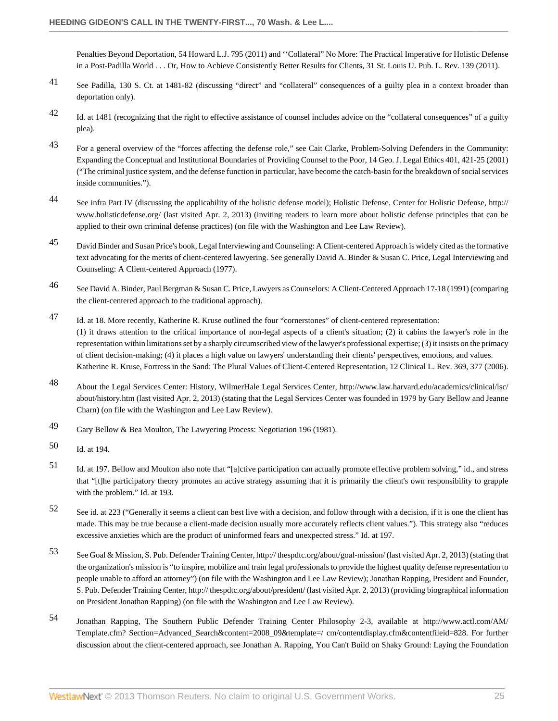[Penalties Beyond Deportation, 54 Howard L.J. 795 \(2011\)](http://www.westlaw.com/Link/Document/FullText?findType=Y&serNum=0363667418&pubNum=0001531&originationContext=document&vr=3.0&rs=cblt1.0&transitionType=DocumentItem&contextData=(sc.History*oc.Search)) and [''Collateral" No More: The Practical Imperative for Holistic Defense](http://www.westlaw.com/Link/Document/FullText?findType=Y&serNum=0371903204&pubNum=0001615&originationContext=document&vr=3.0&rs=cblt1.0&transitionType=DocumentItem&contextData=(sc.History*oc.Search)) [in a Post-Padilla World . . . Or, How to Achieve Consistently Better Results for Clients, 31 St. Louis U. Pub. L. Rev. 139 \(2011\)](http://www.westlaw.com/Link/Document/FullText?findType=Y&serNum=0371903204&pubNum=0001615&originationContext=document&vr=3.0&rs=cblt1.0&transitionType=DocumentItem&contextData=(sc.History*oc.Search)).

- <span id="page-24-0"></span>[41](#page-3-10) See [Padilla, 130 S. Ct. at 1481-82](http://www.westlaw.com/Link/Document/FullText?findType=Y&serNum=2021655200&pubNum=0000708&originationContext=document&vr=3.0&rs=cblt1.0&transitionType=DocumentItem&contextData=(sc.History*oc.Search)#co_pp_sp_708_1481) (discussing "direct" and "collateral" consequences of a guilty plea in a context broader than deportation only).
- <span id="page-24-1"></span>[42](#page-3-11) [Id. at 1481](http://www.westlaw.com/Link/Document/FullText?findType=Y&serNum=2021655200&pubNum=0000708&originationContext=document&vr=3.0&rs=cblt1.0&transitionType=DocumentItem&contextData=(sc.History*oc.Search)#co_pp_sp_708_1481) (recognizing that the right to effective assistance of counsel includes advice on the "collateral consequences" of a guilty plea).
- <span id="page-24-2"></span>[43](#page-3-12) For a general overview of the "forces affecting the defense role," see Cait Clarke, [Problem-Solving Defenders in the Community:](http://www.westlaw.com/Link/Document/FullText?findType=Y&serNum=0296469497&pubNum=0001655&originationContext=document&vr=3.0&rs=cblt1.0&transitionType=DocumentItem&contextData=(sc.History*oc.Search)#co_pp_sp_1655_421) [Expanding the Conceptual and Institutional Boundaries of Providing Counsel to the Poor, 14 Geo. J. Legal Ethics 401, 421-25 \(2001\)](http://www.westlaw.com/Link/Document/FullText?findType=Y&serNum=0296469497&pubNum=0001655&originationContext=document&vr=3.0&rs=cblt1.0&transitionType=DocumentItem&contextData=(sc.History*oc.Search)#co_pp_sp_1655_421) ("The criminal justice system, and the defense function in particular, have become the catch-basin for the breakdown of social services inside communities.").
- <span id="page-24-3"></span>[44](#page-4-1) See infra Part IV (discussing the applicability of the holistic defense model); Holistic Defense, Center for Holistic Defense, http:// www.holisticdefense.org/ (last visited Apr. 2, 2013) (inviting readers to learn more about holistic defense principles that can be applied to their own criminal defense practices) (on file with the Washington and Lee Law Review).
- <span id="page-24-4"></span>[45](#page-4-2) David Binder and Susan Price's book, Legal Interviewing and Counseling: A Client-centered Approach is widely cited as the formative text advocating for the merits of client-centered lawyering. See generally David A. Binder & Susan C. Price, Legal Interviewing and Counseling: A Client-centered Approach (1977).
- <span id="page-24-5"></span>[46](#page-4-3) See David A. Binder, Paul Bergman & Susan C. Price, Lawyers as Counselors: A Client-Centered Approach 17-18 (1991) (comparing the client-centered approach to the traditional approach).
- <span id="page-24-6"></span>[47](#page-4-4) Id. at 18. More recently, Katherine R. Kruse outlined the four "cornerstones" of client-centered representation: (1) it draws attention to the critical importance of non-legal aspects of a client's situation; (2) it cabins the lawyer's role in the representation within limitations set by a sharply circumscribed view of the lawyer's professional expertise; (3) it insists on the primacy of client decision-making; (4) it places a high value on lawyers' understanding their clients' perspectives, emotions, and values. Katherine R. Kruse, [Fortress in the Sand: The Plural Values of Client-Centered Representation, 12 Clinical L. Rev. 369, 377 \(2006\).](http://www.westlaw.com/Link/Document/FullText?findType=Y&serNum=0312231666&pubNum=0106706&originationContext=document&vr=3.0&rs=cblt1.0&transitionType=DocumentItem&contextData=(sc.History*oc.Search)#co_pp_sp_106706_377)
- <span id="page-24-7"></span>[48](#page-4-5) About the Legal Services Center: History, WilmerHale Legal Services Center, http://www.law.harvard.edu/academics/clinical/lsc/ about/history.htm (last visited Apr. 2, 2013) (stating that the Legal Services Center was founded in 1979 by Gary Bellow and Jeanne Charn) (on file with the Washington and Lee Law Review).
- <span id="page-24-8"></span>[49](#page-4-6) Gary Bellow & Bea Moulton, The Lawyering Process: Negotiation 196 (1981).
- <span id="page-24-9"></span>[50](#page-4-7) Id. at 194.
- <span id="page-24-10"></span>[51](#page-4-8) Id. at 197. Bellow and Moulton also note that "[a]ctive participation can actually promote effective problem solving," id., and stress that "[t]he participatory theory promotes an active strategy assuming that it is primarily the client's own responsibility to grapple with the problem." Id. at 193.
- <span id="page-24-11"></span>[52](#page-4-9) See id. at 223 ("Generally it seems a client can best live with a decision, and follow through with a decision, if it is one the client has made. This may be true because a client-made decision usually more accurately reflects client values."). This strategy also "reduces excessive anxieties which are the product of uninformed fears and unexpected stress." Id. at 197.
- <span id="page-24-12"></span>[53](#page-4-10) See Goal & Mission, S. Pub. Defender Training Center, http:// thespdtc.org/about/goal-mission/ (last visited Apr. 2, 2013) (stating that the organization's mission is "to inspire, mobilize and train legal professionals to provide the highest quality defense representation to people unable to afford an attorney") (on file with the Washington and Lee Law Review); Jonathan Rapping, President and Founder, S. Pub. Defender Training Center, http:// thespdtc.org/about/president/ (last visited Apr. 2, 2013) (providing biographical information on President Jonathan Rapping) (on file with the Washington and Lee Law Review).
- <span id="page-24-13"></span>[54](#page-4-11) Jonathan Rapping, The Southern Public Defender Training Center Philosophy 2-3, available at http://www.actl.com/AM/ Template.cfm? Section=Advanced\_Search&content=2008\_09&template=/ cm/contentdisplay.cfm&contentfileid=828. For further discussion about the client-centered approach, see Jonathan A. Rapping, [You Can't Build on Shaky Ground: Laying the Foundation](http://www.westlaw.com/Link/Document/FullText?findType=Y&serNum=0347224630&pubNum=0203226&originationContext=document&vr=3.0&rs=cblt1.0&transitionType=DocumentItem&contextData=(sc.History*oc.Search)#co_pp_sp_203226_167)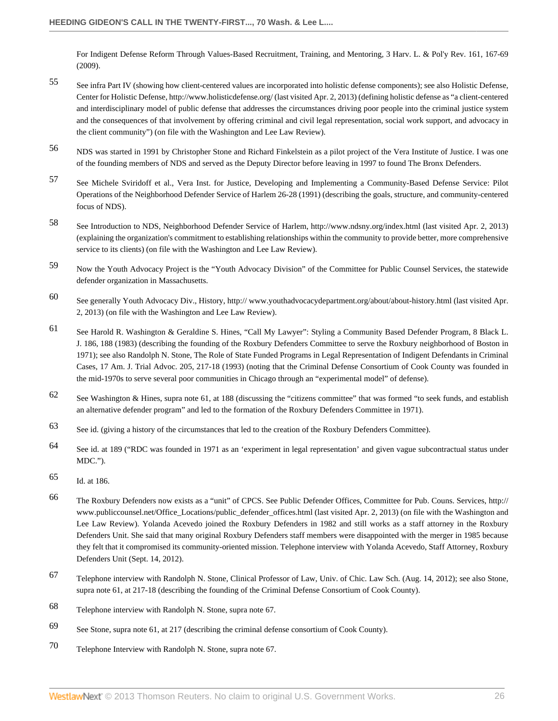[For Indigent Defense Reform Through Values-Based Recruitment, Training, and Mentoring, 3 Harv. L. & Pol'y Rev. 161, 167-69](http://www.westlaw.com/Link/Document/FullText?findType=Y&serNum=0347224630&pubNum=0203226&originationContext=document&vr=3.0&rs=cblt1.0&transitionType=DocumentItem&contextData=(sc.History*oc.Search)#co_pp_sp_203226_167) [\(2009\).](http://www.westlaw.com/Link/Document/FullText?findType=Y&serNum=0347224630&pubNum=0203226&originationContext=document&vr=3.0&rs=cblt1.0&transitionType=DocumentItem&contextData=(sc.History*oc.Search)#co_pp_sp_203226_167)

- <span id="page-25-0"></span>[55](#page-5-1) See infra Part IV (showing how client-centered values are incorporated into holistic defense components); see also Holistic Defense, Center for Holistic Defense, http://www.holisticdefense.org/ (last visited Apr. 2, 2013) (defining holistic defense as "a client-centered and interdisciplinary model of public defense that addresses the circumstances driving poor people into the criminal justice system and the consequences of that involvement by offering criminal and civil legal representation, social work support, and advocacy in the client community") (on file with the Washington and Lee Law Review).
- <span id="page-25-1"></span>[56](#page-5-2) NDS was started in 1991 by Christopher Stone and Richard Finkelstein as a pilot project of the Vera Institute of Justice. I was one of the founding members of NDS and served as the Deputy Director before leaving in 1997 to found The Bronx Defenders.
- <span id="page-25-2"></span>[57](#page-5-3) See Michele Sviridoff et al., Vera Inst. for Justice, Developing and Implementing a Community-Based Defense Service: Pilot Operations of the Neighborhood Defender Service of Harlem 26-28 (1991) (describing the goals, structure, and community-centered focus of NDS).
- <span id="page-25-3"></span>[58](#page-5-4) See Introduction to NDS, Neighborhood Defender Service of Harlem, http://www.ndsny.org/index.html (last visited Apr. 2, 2013) (explaining the organization's commitment to establishing relationships within the community to provide better, more comprehensive service to its clients) (on file with the Washington and Lee Law Review).
- <span id="page-25-4"></span>[59](#page-5-5) Now the Youth Advocacy Project is the "Youth Advocacy Division" of the Committee for Public Counsel Services, the statewide defender organization in Massachusetts.
- <span id="page-25-5"></span>[60](#page-5-6) See generally Youth Advocacy Div., History, http:// www.youthadvocacydepartment.org/about/about-history.html (last visited Apr. 2, 2013) (on file with the Washington and Lee Law Review).
- <span id="page-25-6"></span>[61](#page-5-7) See Harold R. Washington & Geraldine S. Hines, "Call My Lawyer": Styling a Community Based Defender Program, 8 Black L. J. 186, 188 (1983) (describing the founding of the Roxbury Defenders Committee to serve the Roxbury neighborhood of Boston in 1971); see also Randolph N. Stone, [The Role of State Funded Programs in Legal Representation of Indigent Defendants in Criminal](http://www.westlaw.com/Link/Document/FullText?findType=Y&serNum=0103215486&pubNum=0001089&originationContext=document&vr=3.0&rs=cblt1.0&transitionType=DocumentItem&contextData=(sc.History*oc.Search)#co_pp_sp_1089_217) [Cases, 17 Am. J. Trial Advoc. 205, 217-18 \(1993\)](http://www.westlaw.com/Link/Document/FullText?findType=Y&serNum=0103215486&pubNum=0001089&originationContext=document&vr=3.0&rs=cblt1.0&transitionType=DocumentItem&contextData=(sc.History*oc.Search)#co_pp_sp_1089_217) (noting that the Criminal Defense Consortium of Cook County was founded in the mid-1970s to serve several poor communities in Chicago through an "experimental model" of defense).
- <span id="page-25-7"></span>[62](#page-5-8) See Washington & Hines, supra note 61, at 188 (discussing the "citizens committee" that was formed "to seek funds, and establish an alternative defender program" and led to the formation of the Roxbury Defenders Committee in 1971).
- <span id="page-25-8"></span>[63](#page-5-9) See id. (giving a history of the circumstances that led to the creation of the Roxbury Defenders Committee).
- <span id="page-25-9"></span>[64](#page-5-10) See id. at 189 ("RDC was founded in 1971 as an 'experiment in legal representation' and given vague subcontractual status under MDC.").
- <span id="page-25-10"></span>[65](#page-5-11) Id. at 186.
- <span id="page-25-11"></span>[66](#page-5-12) The Roxbury Defenders now exists as a "unit" of CPCS. See Public Defender Offices, Committee for Pub. Couns. Services, http:// www.publiccounsel.net/Office\_Locations/public\_defender\_offices.html (last visited Apr. 2, 2013) (on file with the Washington and Lee Law Review). Yolanda Acevedo joined the Roxbury Defenders in 1982 and still works as a staff attorney in the Roxbury Defenders Unit. She said that many original Roxbury Defenders staff members were disappointed with the merger in 1985 because they felt that it compromised its community-oriented mission. Telephone interview with Yolanda Acevedo, Staff Attorney, Roxbury Defenders Unit (Sept. 14, 2012).
- <span id="page-25-12"></span>[67](#page-5-13) Telephone interview with Randolph N. Stone, Clinical Professor of Law, Univ. of Chic. Law Sch. (Aug. 14, 2012); see also Stone, supra note 61, at 217-18 (describing the founding of the Criminal Defense Consortium of Cook County).
- <span id="page-25-13"></span>[68](#page-5-14) Telephone interview with Randolph N. Stone, supra note 67.
- <span id="page-25-14"></span>[69](#page-5-15) See Stone, supra note 61, at 217 (describing the criminal defense consortium of Cook County).
- <span id="page-25-15"></span>[70](#page-6-1) Telephone Interview with Randolph N. Stone, supra note 67.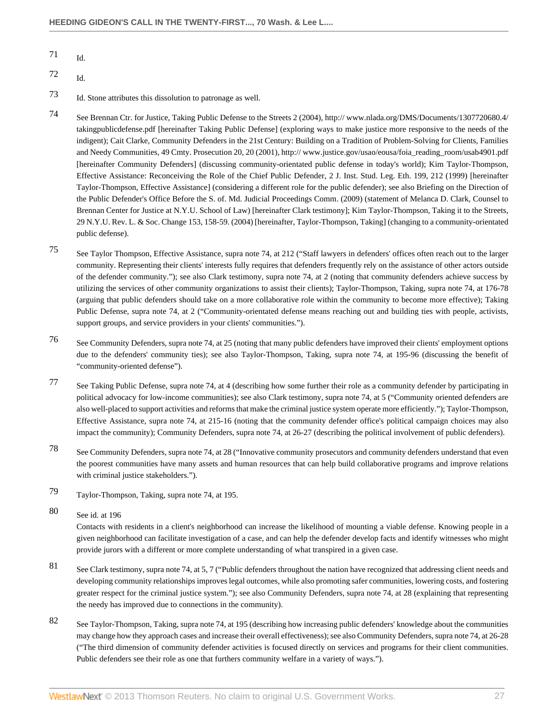- <span id="page-26-0"></span>[71](#page-6-2) Id.
- <span id="page-26-1"></span>[72](#page-6-3) Id.
- <span id="page-26-2"></span>[73](#page-6-4) Id. Stone attributes this dissolution to patronage as well.
- <span id="page-26-3"></span>[74](#page-6-5) See Brennan Ctr. for Justice, Taking Public Defense to the Streets 2 (2004), http:// www.nlada.org/DMS/Documents/1307720680.4/ takingpublicdefense.pdf [hereinafter Taking Public Defense] (exploring ways to make justice more responsive to the needs of the indigent); Cait Clarke, Community Defenders in the 21st Century: Building on a Tradition of Problem-Solving for Clients, Families and Needy Communities, 49 Cmty. Prosecution 20, 20 (2001), http:// www.justice.gov/usao/eousa/foia\_reading\_room/usab4901.pdf [hereinafter Community Defenders] (discussing community-orientated public defense in today's world); Kim Taylor-Thompson, Effective Assistance: Reconceiving the Role of the Chief Public Defender, 2 J. Inst. Stud. Leg. Eth. 199, 212 (1999) [hereinafter Taylor-Thompson, Effective Assistance] (considering a different role for the public defender); see also Briefing on the Direction of the Public Defender's Office Before the S. of. Md. Judicial Proceedings Comm. (2009) (statement of Melanca D. Clark, Counsel to Brennan Center for Justice at N.Y.U. School of Law) [hereinafter Clark testimony]; Kim Taylor-Thompson, [Taking it to the Streets,](http://www.westlaw.com/Link/Document/FullText?findType=Y&serNum=0297743708&pubNum=0001207&originationContext=document&vr=3.0&rs=cblt1.0&transitionType=DocumentItem&contextData=(sc.History*oc.Search)#co_pp_sp_1207_158) [29 N.Y.U. Rev. L. & Soc. Change 153, 158-59. \(2004\)](http://www.westlaw.com/Link/Document/FullText?findType=Y&serNum=0297743708&pubNum=0001207&originationContext=document&vr=3.0&rs=cblt1.0&transitionType=DocumentItem&contextData=(sc.History*oc.Search)#co_pp_sp_1207_158) [hereinafter, Taylor-Thompson, Taking] (changing to a community-orientated public defense).
- <span id="page-26-4"></span>[75](#page-6-6) See Taylor Thompson, Effective Assistance, supra note 74, at 212 ("Staff lawyers in defenders' offices often reach out to the larger community. Representing their clients' interests fully requires that defenders frequently rely on the assistance of other actors outside of the defender community."); see also Clark testimony, supra note 74, at 2 (noting that community defenders achieve success by utilizing the services of other community organizations to assist their clients); Taylor-Thompson, Taking, supra note 74, at 176-78 (arguing that public defenders should take on a more collaborative role within the community to become more effective); Taking Public Defense, supra note 74, at 2 ("Community-orientated defense means reaching out and building ties with people, activists, support groups, and service providers in your clients' communities.").
- <span id="page-26-5"></span>[76](#page-6-7) See Community Defenders, supra note 74, at 25 (noting that many public defenders have improved their clients' employment options due to the defenders' community ties); see also Taylor-Thompson, Taking, supra note 74, at 195-96 (discussing the benefit of "community-oriented defense").
- <span id="page-26-6"></span>[77](#page-6-8) See Taking Public Defense, supra note 74, at 4 (describing how some further their role as a community defender by participating in political advocacy for low-income communities); see also Clark testimony, supra note 74, at 5 ("Community oriented defenders are also well-placed to support activities and reforms that make the criminal justice system operate more efficiently."); Taylor-Thompson, Effective Assistance, supra note 74, at 215-16 (noting that the community defender office's political campaign choices may also impact the community); Community Defenders, supra note 74, at 26-27 (describing the political involvement of public defenders).
- <span id="page-26-7"></span>[78](#page-6-9) See Community Defenders, supra note 74, at 28 ("Innovative community prosecutors and community defenders understand that even the poorest communities have many assets and human resources that can help build collaborative programs and improve relations with criminal justice stakeholders.").
- <span id="page-26-8"></span>[79](#page-6-10) Taylor-Thompson, Taking, supra note 74, at 195.
- <span id="page-26-9"></span>[80](#page-6-11) See id. at 196

Contacts with residents in a client's neighborhood can increase the likelihood of mounting a viable defense. Knowing people in a given neighborhood can facilitate investigation of a case, and can help the defender develop facts and identify witnesses who might provide jurors with a different or more complete understanding of what transpired in a given case.

- <span id="page-26-10"></span>[81](#page-6-12) See Clark testimony, supra note 74, at 5, 7 ("Public defenders throughout the nation have recognized that addressing client needs and developing community relationships improves legal outcomes, while also promoting safer communities, lowering costs, and fostering greater respect for the criminal justice system."); see also Community Defenders, supra note 74, at 28 (explaining that representing the needy has improved due to connections in the community).
- <span id="page-26-11"></span>[82](#page-6-13) See Taylor-Thompson, Taking, supra note 74, at 195 (describing how increasing public defenders' knowledge about the communities may change how they approach cases and increase their overall effectiveness); see also Community Defenders, supra note 74, at 26-28 ("The third dimension of community defender activities is focused directly on services and programs for their client communities. Public defenders see their role as one that furthers community welfare in a variety of ways.").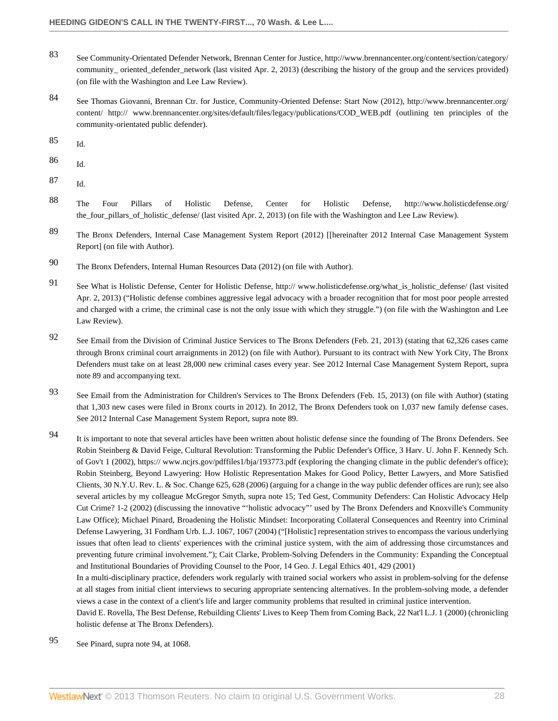- <span id="page-27-0"></span>[83](#page-6-14) See Community-Orientated Defender Network, Brennan Center for Justice, http://www.brennancenter.org/content/section/category/ community\_ oriented\_defender\_network (last visited Apr. 2, 2013) (describing the history of the group and the services provided) (on file with the Washington and Lee Law Review).
- <span id="page-27-1"></span>[84](#page-6-15) See Thomas Giovanni, Brennan Ctr. for Justice, Community-Oriented Defense: Start Now (2012), http://www.brennancenter.org/ content/ http:// www.brennancenter.org/sites/default/files/legacy/publications/COD\_WEB.pdf (outlining ten principles of the community-orientated public defender).
- <span id="page-27-2"></span>[85](#page-6-16) Id.
- <span id="page-27-3"></span>[86](#page-6-17) Id.
- <span id="page-27-4"></span>[87](#page-6-18) Id.
- <span id="page-27-5"></span>[88](#page-6-19) The Four Pillars of Holistic Defense, Center for Holistic Defense, http://www.holisticdefense.org/ the\_four\_pillars\_of\_holistic\_defense/ (last visited Apr. 2, 2013) (on file with the Washington and Lee Law Review).
- <span id="page-27-6"></span>[89](#page-7-1) The Bronx Defenders, Internal Case Management System Report (2012) [[hereinafter 2012 Internal Case Management System Report] (on file with Author).
- <span id="page-27-7"></span>[90](#page-7-2) The Bronx Defenders, Internal Human Resources Data (2012) (on file with Author).
- <span id="page-27-8"></span>[91](#page-7-3) See What is Holistic Defense, Center for Holistic Defense, http:// www.holisticdefense.org/what is holistic defense/ (last visited Apr. 2, 2013) ("Holistic defense combines aggressive legal advocacy with a broader recognition that for most poor people arrested and charged with a crime, the criminal case is not the only issue with which they struggle.") (on file with the Washington and Lee Law Review).
- <span id="page-27-9"></span>[92](#page-7-4) See Email from the Division of Criminal Justice Services to The Bronx Defenders (Feb. 21, 2013) (stating that 62,326 cases came through Bronx criminal court arraignments in 2012) (on file with Author). Pursuant to its contract with New York City, The Bronx Defenders must take on at least 28,000 new criminal cases every year. See 2012 Internal Case Management System Report, supra note 89 and accompanying text.
- <span id="page-27-10"></span>[93](#page-7-5) See Email from the Administration for Children's Services to The Bronx Defenders (Feb. 15, 2013) (on file with Author) (stating that 1,303 new cases were filed in Bronx courts in 2012). In 2012, The Bronx Defenders took on 1,037 new family defense cases. See 2012 Internal Case Management System Report, supra note 89.
- <span id="page-27-11"></span>[94](#page-7-6) It is important to note that several articles have been written about holistic defense since the founding of The Bronx Defenders. See Robin Steinberg & David Feige, Cultural Revolution: Transforming the Public Defender's Office, 3 Harv. U. John F. Kennedy Sch. of Gov't 1 (2002), https:// www.ncjrs.gov/pdffiles1/bja/193773.pdf (exploring the changing climate in the public defender's office); Robin Steinberg, [Beyond Lawyering: How Holistic Representation Makes for Good Policy, Better Lawyers, and More Satisfied](http://www.westlaw.com/Link/Document/FullText?findType=Y&serNum=0324380877&pubNum=0001207&originationContext=document&vr=3.0&rs=cblt1.0&transitionType=DocumentItem&contextData=(sc.History*oc.Search)#co_pp_sp_1207_628) [Clients, 30 N.Y.U. Rev. L. & Soc. Change 625, 628 \(2006\)](http://www.westlaw.com/Link/Document/FullText?findType=Y&serNum=0324380877&pubNum=0001207&originationContext=document&vr=3.0&rs=cblt1.0&transitionType=DocumentItem&contextData=(sc.History*oc.Search)#co_pp_sp_1207_628) (arguing for a change in the way public defender offices are run); see also several articles by my colleague McGregor Smyth, supra note 15; Ted Gest, Community Defenders: Can Holistic Advocacy Help Cut Crime? 1-2 (2002) (discussing the innovative "'holistic advocacy"' used by The Bronx Defenders and Knoxville's Community Law Office); Michael Pinard, [Broadening the Holistic Mindset: Incorporating Collateral Consequences and Reentry into Criminal](http://www.westlaw.com/Link/Document/FullText?findType=Y&serNum=0302772240&pubNum=0001143&originationContext=document&vr=3.0&rs=cblt1.0&transitionType=DocumentItem&contextData=(sc.History*oc.Search)) [Defense Lawyering, 31 Fordham Urb. L.J. 1067, 1067 \(2004\)](http://www.westlaw.com/Link/Document/FullText?findType=Y&serNum=0302772240&pubNum=0001143&originationContext=document&vr=3.0&rs=cblt1.0&transitionType=DocumentItem&contextData=(sc.History*oc.Search)) ("[Holistic] representation strives to encompass the various underlying issues that often lead to clients' experiences with the criminal justice system, with the aim of addressing those circumstances and preventing future criminal involvement."); Cait Clarke, [Problem-Solving Defenders in the Community: Expanding the Conceptual](http://www.westlaw.com/Link/Document/FullText?findType=Y&serNum=0296469497&pubNum=0001655&originationContext=document&vr=3.0&rs=cblt1.0&transitionType=DocumentItem&contextData=(sc.History*oc.Search)#co_pp_sp_1655_429) [and Institutional Boundaries of Providing Counsel to the Poor, 14 Geo. J. Legal Ethics 401, 429 \(2001\)](http://www.westlaw.com/Link/Document/FullText?findType=Y&serNum=0296469497&pubNum=0001655&originationContext=document&vr=3.0&rs=cblt1.0&transitionType=DocumentItem&contextData=(sc.History*oc.Search)#co_pp_sp_1655_429)

In a multi-disciplinary practice, defenders work regularly with trained social workers who assist in problem-solving for the defense at all stages from initial client interviews to securing appropriate sentencing alternatives. In the problem-solving mode, a defender views a case in the context of a client's life and larger community problems that resulted in criminal justice intervention.

David E. Rovella, The Best Defense, Rebuilding Clients' Lives to Keep Them from Coming Back, 22 Nat'l L.J. 1 (2000) (chronicling holistic defense at The Bronx Defenders).

<span id="page-27-12"></span>[95](#page-7-7) See Pinard, supra note 94, at 1068.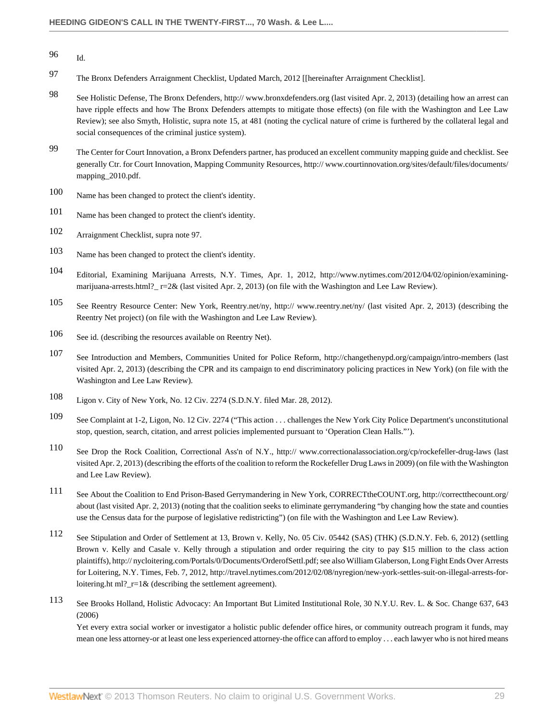- <span id="page-28-0"></span>[96](#page-7-8) Id.
- <span id="page-28-1"></span>[97](#page-8-0) The Bronx Defenders Arraignment Checklist, Updated March, 2012 [[hereinafter Arraignment Checklist].
- <span id="page-28-2"></span>[98](#page-8-1) See Holistic Defense, The Bronx Defenders, http:// www.bronxdefenders.org (last visited Apr. 2, 2013) (detailing how an arrest can have ripple effects and how The Bronx Defenders attempts to mitigate those effects) (on file with the Washington and Lee Law Review); see also Smyth, Holistic, supra note 15, at 481 (noting the cyclical nature of crime is furthered by the collateral legal and social consequences of the criminal justice system).
- <span id="page-28-3"></span>[99](#page-8-2) The Center for Court Innovation, a Bronx Defenders partner, has produced an excellent community mapping guide and checklist. See generally Ctr. for Court Innovation, Mapping Community Resources, http:// www.courtinnovation.org/sites/default/files/documents/ mapping\_2010.pdf.
- <span id="page-28-4"></span>[100](#page-8-3) Name has been changed to protect the client's identity.
- <span id="page-28-5"></span>[101](#page-10-0) Name has been changed to protect the client's identity.
- <span id="page-28-6"></span>[102](#page-11-1) Arraignment Checklist, supra note 97.
- <span id="page-28-7"></span>[103](#page-11-2) Name has been changed to protect the client's identity.
- <span id="page-28-8"></span>[104](#page-13-0) Editorial, Examining Marijuana Arrests, N.Y. Times, Apr. 1, 2012, http://www.nytimes.com/2012/04/02/opinion/examiningmarijuana-arrests.html?\_r=2& (last visited Apr. 2, 2013) (on file with the Washington and Lee Law Review).
- <span id="page-28-9"></span>[105](#page-13-1) See Reentry Resource Center: New York, Reentry.net/ny, http:// www.reentry.net/ny/ (last visited Apr. 2, 2013) (describing the Reentry Net project) (on file with the Washington and Lee Law Review).
- <span id="page-28-10"></span>[106](#page-13-2) See id. (describing the resources available on Reentry Net).
- <span id="page-28-11"></span>[107](#page-13-3) See Introduction and Members, Communities United for Police Reform, http://changethenypd.org/campaign/intro-members (last visited Apr. 2, 2013) (describing the CPR and its campaign to end discriminatory policing practices in New York) (on file with the Washington and Lee Law Review).
- <span id="page-28-12"></span>[108](#page-13-4) Ligon v. City of New York, No. 12 Civ. 2274 (S.D.N.Y. filed Mar. 28, 2012).
- <span id="page-28-13"></span>[109](#page-13-5) See Complaint at 1-2, Ligon, No. 12 Civ. 2274 ("This action . . . challenges the New York City Police Department's unconstitutional stop, question, search, citation, and arrest policies implemented pursuant to 'Operation Clean Halls."').
- <span id="page-28-14"></span>[110](#page-14-3) See Drop the Rock Coalition, Correctional Ass'n of N.Y., http:// www.correctionalassociation.org/cp/rockefeller-drug-laws (last visited Apr. 2, 2013) (describing the efforts of the coalition to reform the Rockefeller Drug Laws in 2009) (on file with the Washington and Lee Law Review).
- <span id="page-28-15"></span>[111](#page-14-4) See About the Coalition to End Prison-Based Gerrymandering in New York, CORRECTtheCOUNT.org, http://correctthecount.org/ about (last visited Apr. 2, 2013) (noting that the coalition seeks to eliminate gerrymandering "by changing how the state and counties use the Census data for the purpose of legislative redistricting") (on file with the Washington and Lee Law Review).
- <span id="page-28-16"></span>[112](#page-14-5) See Stipulation and Order of Settlement at 13, Brown v. Kelly, No. 05 Civ. 05442 (SAS) (THK) (S.D.N.Y. Feb. 6, 2012) (settling Brown v. Kelly and Casale v. Kelly through a stipulation and order requiring the city to pay \$15 million to the class action plaintiffs), http:// nycloitering.com/Portals/0/Documents/OrderofSettl.pdf; see also William Glaberson, Long Fight Ends Over Arrests for Loitering, N.Y. Times, Feb. 7, 2012, http://travel.nytimes.com/2012/02/08/nyregion/new-york-settles-suit-on-illegal-arrests-forloitering.ht ml?  $r=1\&$  (describing the settlement agreement).
- <span id="page-28-17"></span>[113](#page-14-6) See Brooks Holland, [Holistic Advocacy: An Important But Limited Institutional Role, 30 N.Y.U. Rev. L. & Soc. Change 637, 643](http://www.westlaw.com/Link/Document/FullText?findType=Y&serNum=0324380878&pubNum=0001207&originationContext=document&vr=3.0&rs=cblt1.0&transitionType=DocumentItem&contextData=(sc.History*oc.Search)#co_pp_sp_1207_643) [\(2006\)](http://www.westlaw.com/Link/Document/FullText?findType=Y&serNum=0324380878&pubNum=0001207&originationContext=document&vr=3.0&rs=cblt1.0&transitionType=DocumentItem&contextData=(sc.History*oc.Search)#co_pp_sp_1207_643)

Yet every extra social worker or investigator a holistic public defender office hires, or community outreach program it funds, may mean one less attorney-or at least one less experienced attorney-the office can afford to employ . . . each lawyer who is not hired means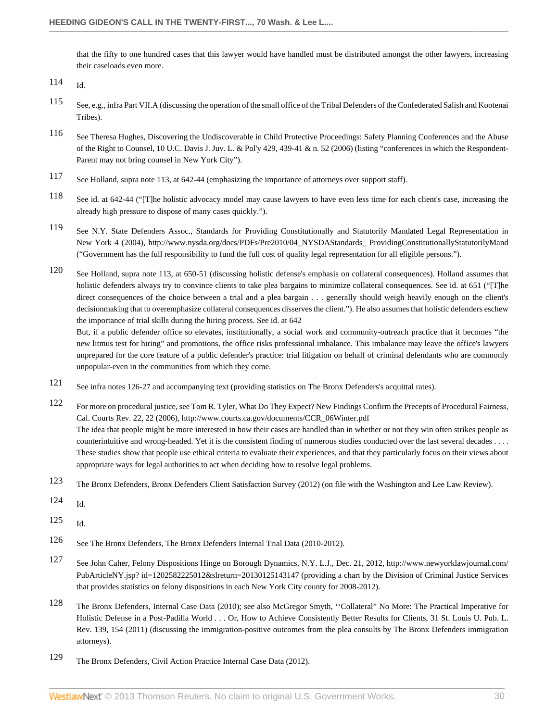that the fifty to one hundred cases that this lawyer would have handled must be distributed amongst the other lawyers, increasing their caseloads even more.

- <span id="page-29-1"></span>[115](#page-14-8) See, e.g., infra Part VII.A (discussing the operation of the small office of the Tribal Defenders of the Confederated Salish and Kootenai Tribes).
- <span id="page-29-2"></span>[116](#page-15-1) See Theresa Hughes, [Discovering the Undiscoverable in Child Protective Proceedings: Safety Planning Conferences and the Abuse](http://www.westlaw.com/Link/Document/FullText?findType=Y&serNum=0327578177&pubNum=0169622&originationContext=document&vr=3.0&rs=cblt1.0&transitionType=DocumentItem&contextData=(sc.History*oc.Search)#co_pp_sp_169622_439) [of the Right to Counsel, 10 U.C. Davis J. Juv. L. & Pol'y 429, 439-41 & n. 52 \(2006\)](http://www.westlaw.com/Link/Document/FullText?findType=Y&serNum=0327578177&pubNum=0169622&originationContext=document&vr=3.0&rs=cblt1.0&transitionType=DocumentItem&contextData=(sc.History*oc.Search)#co_pp_sp_169622_439) (listing "conferences in which the Respondent-Parent may not bring counsel in New York City").
- <span id="page-29-3"></span>[117](#page-15-2) See Holland, supra note 113, at 642-44 (emphasizing the importance of attorneys over support staff).
- <span id="page-29-4"></span>[118](#page-15-3) See id. at 642-44 ("[T]he holistic advocacy model may cause lawyers to have even less time for each client's case, increasing the already high pressure to dispose of many cases quickly.").
- <span id="page-29-5"></span>[119](#page-15-4) See N.Y. State Defenders Assoc., Standards for Providing Constitutionally and Statutorily Mandated Legal Representation in New York 4 (2004), http://www.nysda.org/docs/PDFs/Pre2010/04\_NYSDAStandards\_ ProvidingConstitutionallyStatutorilyMand ("Government has the full responsibility to fund the full cost of quality legal representation for all eligible persons.").

<span id="page-29-6"></span>[120](#page-15-5) See Holland, supra note 113, at 650-51 (discussing holistic defense's emphasis on collateral consequences). Holland assumes that holistic defenders always try to convince clients to take plea bargains to minimize collateral consequences. See id. at 651 ("[T]he direct consequences of the choice between a trial and a plea bargain . . . generally should weigh heavily enough on the client's decisionmaking that to overemphasize collateral consequences disserves the client."). He also assumes that holistic defenders eschew the importance of trial skills during the hiring process. See id. at 642

But, if a public defender office so elevates, institutionally, a social work and community-outreach practice that it becomes "the new litmus test for hiring" and promotions, the office risks professional imbalance. This imbalance may leave the office's lawyers unprepared for the core feature of a public defender's practice: trial litigation on behalf of criminal defendants who are commonly unpopular-even in the communities from which they come.

- <span id="page-29-7"></span>[121](#page-16-2) See infra notes 126-27 and accompanying text (providing statistics on The Bronx Defenders's acquittal rates).
- <span id="page-29-8"></span>[122](#page-16-3) For more on procedural justice, see Tom R. Tyler, What Do They Expect? New Findings Confirm the Precepts of Procedural Fairness, Cal. Courts Rev. 22, 22 (2006), http://www.courts.ca.gov/documents/CCR\_06Winter.pdf The idea that people might be more interested in how their cases are handled than in whether or not they win often strikes people as counterintuitive and wrong-headed. Yet it is the consistent finding of numerous studies conducted over the last several decades . . . . These studies show that people use ethical criteria to evaluate their experiences, and that they particularly focus on their views about appropriate ways for legal authorities to act when deciding how to resolve legal problems.
- <span id="page-29-9"></span>[123](#page-16-4) The Bronx Defenders, Bronx Defenders Client Satisfaction Survey (2012) (on file with the Washington and Lee Law Review).

<span id="page-29-10"></span>[124](#page-16-5) Id.

<span id="page-29-11"></span>[125](#page-16-6) Id.

- <span id="page-29-12"></span>[126](#page-16-7) See The Bronx Defenders, The Bronx Defenders Internal Trial Data (2010-2012).
- <span id="page-29-13"></span>[127](#page-16-8) See John Caher, Felony Dispositions Hinge on Borough Dynamics, N.Y. L.J., Dec. 21, 2012, http://www.newyorklawjournal.com/ PubArticleNY.jsp? id=1202582225012&slreturn=20130125143147 (providing a chart by the Division of Criminal Justice Services that provides statistics on felony dispositions in each New York City county for 2008-2012).
- <span id="page-29-14"></span>[128](#page-16-9) The Bronx Defenders, Internal Case Data (2010); see also McGregor Smyth, [''Collateral" No More: The Practical Imperative for](http://www.westlaw.com/Link/Document/FullText?findType=Y&serNum=0371903204&pubNum=0001615&originationContext=document&vr=3.0&rs=cblt1.0&transitionType=DocumentItem&contextData=(sc.History*oc.Search)#co_pp_sp_1615_154) [Holistic Defense in a Post-Padilla World . . . Or, How to Achieve Consistently Better Results for Clients, 31 St. Louis U. Pub. L.](http://www.westlaw.com/Link/Document/FullText?findType=Y&serNum=0371903204&pubNum=0001615&originationContext=document&vr=3.0&rs=cblt1.0&transitionType=DocumentItem&contextData=(sc.History*oc.Search)#co_pp_sp_1615_154) [Rev. 139, 154 \(2011\)](http://www.westlaw.com/Link/Document/FullText?findType=Y&serNum=0371903204&pubNum=0001615&originationContext=document&vr=3.0&rs=cblt1.0&transitionType=DocumentItem&contextData=(sc.History*oc.Search)#co_pp_sp_1615_154) (discussing the immigration-positive outcomes from the plea consults by The Bronx Defenders immigration attorneys).
- <span id="page-29-15"></span>[129](#page-16-10) The Bronx Defenders, Civil Action Practice Internal Case Data (2012).

<span id="page-29-0"></span>[<sup>114</sup>](#page-14-7) Id.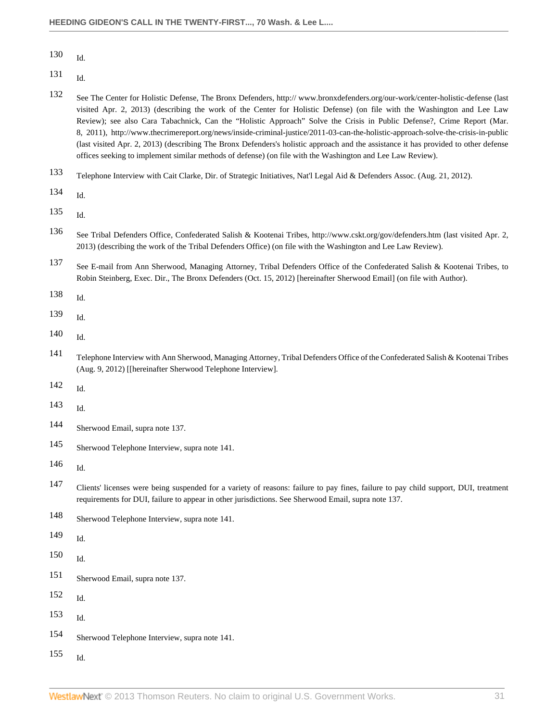<span id="page-30-0"></span>Id.

- <span id="page-30-1"></span>Id.
- <span id="page-30-2"></span> See The Center for Holistic Defense, The Bronx Defenders, http:// www.bronxdefenders.org/our-work/center-holistic-defense (last visited Apr. 2, 2013) (describing the work of the Center for Holistic Defense) (on file with the Washington and Lee Law Review); see also Cara Tabachnick, Can the "Holistic Approach" Solve the Crisis in Public Defense?, Crime Report (Mar. 8, 2011), http://www.thecrimereport.org/news/inside-criminal-justice/2011-03-can-the-holistic-approach-solve-the-crisis-in-public (last visited Apr. 2, 2013) (describing The Bronx Defenders's holistic approach and the assistance it has provided to other defense offices seeking to implement similar methods of defense) (on file with the Washington and Lee Law Review).
- <span id="page-30-3"></span>Telephone Interview with Cait Clarke, Dir. of Strategic Initiatives, Nat'l Legal Aid & Defenders Assoc. (Aug. 21, 2012).
- <span id="page-30-4"></span>Id.
- <span id="page-30-5"></span>Id.
- <span id="page-30-6"></span> See Tribal Defenders Office, Confederated Salish & Kootenai Tribes, http://www.cskt.org/gov/defenders.htm (last visited Apr. 2, 2013) (describing the work of the Tribal Defenders Office) (on file with the Washington and Lee Law Review).
- <span id="page-30-7"></span> See E-mail from Ann Sherwood, Managing Attorney, Tribal Defenders Office of the Confederated Salish & Kootenai Tribes, to Robin Steinberg, Exec. Dir., The Bronx Defenders (Oct. 15, 2012) [hereinafter Sherwood Email] (on file with Author).
- <span id="page-30-8"></span>Id.
- <span id="page-30-9"></span>Id.
- <span id="page-30-10"></span>Id.
- <span id="page-30-11"></span> Telephone Interview with Ann Sherwood, Managing Attorney, Tribal Defenders Office of the Confederated Salish & Kootenai Tribes (Aug. 9, 2012) [[hereinafter Sherwood Telephone Interview].
- <span id="page-30-12"></span>Id.
- <span id="page-30-13"></span>Id.
- <span id="page-30-14"></span>Sherwood Email, supra note 137.
- <span id="page-30-15"></span>Sherwood Telephone Interview, supra note 141.
- <span id="page-30-16"></span>Id.
- <span id="page-30-17"></span> Clients' licenses were being suspended for a variety of reasons: failure to pay fines, failure to pay child support, DUI, treatment requirements for DUI, failure to appear in other jurisdictions. See Sherwood Email, supra note 137.
- <span id="page-30-18"></span>Sherwood Telephone Interview, supra note 141.
- <span id="page-30-19"></span>Id.
- <span id="page-30-20"></span>Id.
- <span id="page-30-21"></span>Sherwood Email, supra note 137.
- <span id="page-30-22"></span>Id.
- <span id="page-30-23"></span>Id.
- <span id="page-30-24"></span>Sherwood Telephone Interview, supra note 141.
- <span id="page-30-25"></span>Id.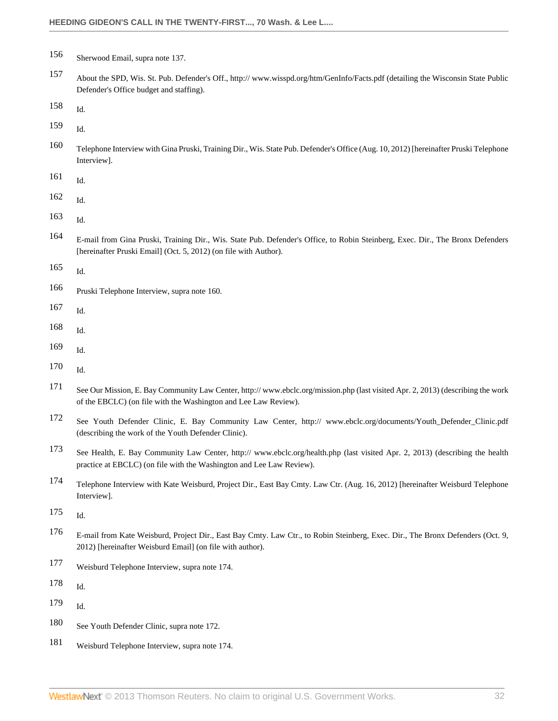- <span id="page-31-0"></span>Sherwood Email, supra note 137.
- <span id="page-31-1"></span> About the SPD, Wis. St. Pub. Defender's Off., http:// www.wisspd.org/htm/GenInfo/Facts.pdf (detailing the Wisconsin State Public Defender's Office budget and staffing).
- <span id="page-31-2"></span>Id.
- <span id="page-31-3"></span>Id.
- <span id="page-31-4"></span> Telephone Interview with Gina Pruski, Training Dir., Wis. State Pub. Defender's Office (Aug. 10, 2012) [hereinafter Pruski Telephone Interview].
- <span id="page-31-5"></span>Id.
- <span id="page-31-6"></span>Id.
- <span id="page-31-7"></span>Id.
- <span id="page-31-8"></span> E-mail from Gina Pruski, Training Dir., Wis. State Pub. Defender's Office, to Robin Steinberg, Exec. Dir., The Bronx Defenders [hereinafter Pruski Email] (Oct. 5, 2012) (on file with Author).
- <span id="page-31-9"></span>Id.
- <span id="page-31-10"></span>Pruski Telephone Interview, supra note 160.
- <span id="page-31-11"></span>Id.
- <span id="page-31-12"></span>Id.
- <span id="page-31-13"></span>Id.
- <span id="page-31-14"></span>Id.
- <span id="page-31-15"></span> See Our Mission, E. Bay Community Law Center, http:// www.ebclc.org/mission.php (last visited Apr. 2, 2013) (describing the work of the EBCLC) (on file with the Washington and Lee Law Review).
- <span id="page-31-16"></span> See Youth Defender Clinic, E. Bay Community Law Center, http:// www.ebclc.org/documents/Youth\_Defender\_Clinic.pdf (describing the work of the Youth Defender Clinic).
- <span id="page-31-17"></span> See Health, E. Bay Community Law Center, http:// www.ebclc.org/health.php (last visited Apr. 2, 2013) (describing the health practice at EBCLC) (on file with the Washington and Lee Law Review).
- <span id="page-31-18"></span> Telephone Interview with Kate Weisburd, Project Dir., East Bay Cmty. Law Ctr. (Aug. 16, 2012) [hereinafter Weisburd Telephone Interview].
- <span id="page-31-19"></span>Id.
- <span id="page-31-20"></span> E-mail from Kate Weisburd, Project Dir., East Bay Cmty. Law Ctr., to Robin Steinberg, Exec. Dir., The Bronx Defenders (Oct. 9, 2012) [hereinafter Weisburd Email] (on file with author).
- <span id="page-31-21"></span>Weisburd Telephone Interview, supra note 174.
- <span id="page-31-22"></span>Id.
- <span id="page-31-23"></span>Id.
- <span id="page-31-24"></span>See Youth Defender Clinic, supra note 172.
- <span id="page-31-25"></span>Weisburd Telephone Interview, supra note 174.